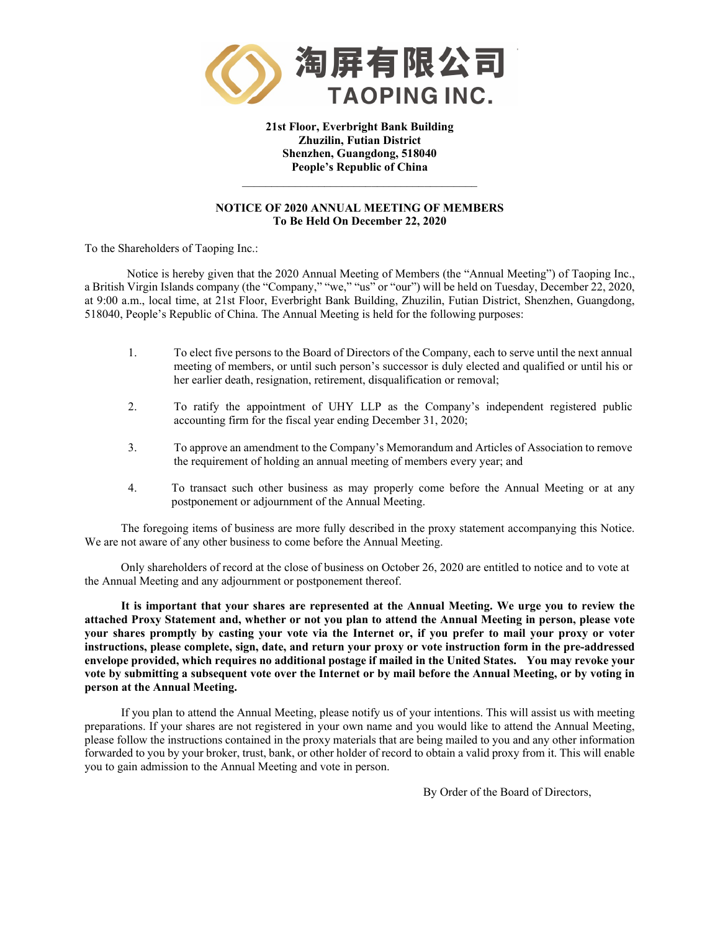

**21st Floor, Everbright Bank Building Zhuzilin, Futian District Shenzhen, Guangdong, 518040 People's Republic of China** 

### **NOTICE OF 2020 ANNUAL MEETING OF MEMBERS To Be Held On December 22, 2020**

 $\mathcal{L}_\text{max}$  and  $\mathcal{L}_\text{max}$  and  $\mathcal{L}_\text{max}$  and  $\mathcal{L}_\text{max}$ 

To the Shareholders of Taoping Inc.:

Notice is hereby given that the 2020 Annual Meeting of Members (the "Annual Meeting") of Taoping Inc., a British Virgin Islands company (the "Company," "we," "us" or "our") will be held on Tuesday, December 22, 2020, at 9:00 a.m., local time, at 21st Floor, Everbright Bank Building, Zhuzilin, Futian District, Shenzhen, Guangdong, 518040, People's Republic of China. The Annual Meeting is held for the following purposes:

- 1. To elect five persons to the Board of Directors of the Company, each to serve until the next annual meeting of members, or until such person's successor is duly elected and qualified or until his or her earlier death, resignation, retirement, disqualification or removal;
- 2. To ratify the appointment of UHY LLP as the Company's independent registered public accounting firm for the fiscal year ending December 31, 2020;
- 3. To approve an amendment to the Company's Memorandum and Articles of Association to remove the requirement of holding an annual meeting of members every year; and
- 4. To transact such other business as may properly come before the Annual Meeting or at any postponement or adjournment of the Annual Meeting.

The foregoing items of business are more fully described in the proxy statement accompanying this Notice. We are not aware of any other business to come before the Annual Meeting.

Only shareholders of record at the close of business on October 26, 2020 are entitled to notice and to vote at the Annual Meeting and any adjournment or postponement thereof.

**It is important that your shares are represented at the Annual Meeting. We urge you to review the attached Proxy Statement and, whether or not you plan to attend the Annual Meeting in person, please vote your shares promptly by casting your vote via the Internet or, if you prefer to mail your proxy or voter instructions, please complete, sign, date, and return your proxy or vote instruction form in the pre-addressed envelope provided, which requires no additional postage if mailed in the United States. You may revoke your vote by submitting a subsequent vote over the Internet or by mail before the Annual Meeting, or by voting in person at the Annual Meeting.**

If you plan to attend the Annual Meeting, please notify us of your intentions. This will assist us with meeting preparations. If your shares are not registered in your own name and you would like to attend the Annual Meeting, please follow the instructions contained in the proxy materials that are being mailed to you and any other information forwarded to you by your broker, trust, bank, or other holder of record to obtain a valid proxy from it. This will enable you to gain admission to the Annual Meeting and vote in person.

By Order of the Board of Directors,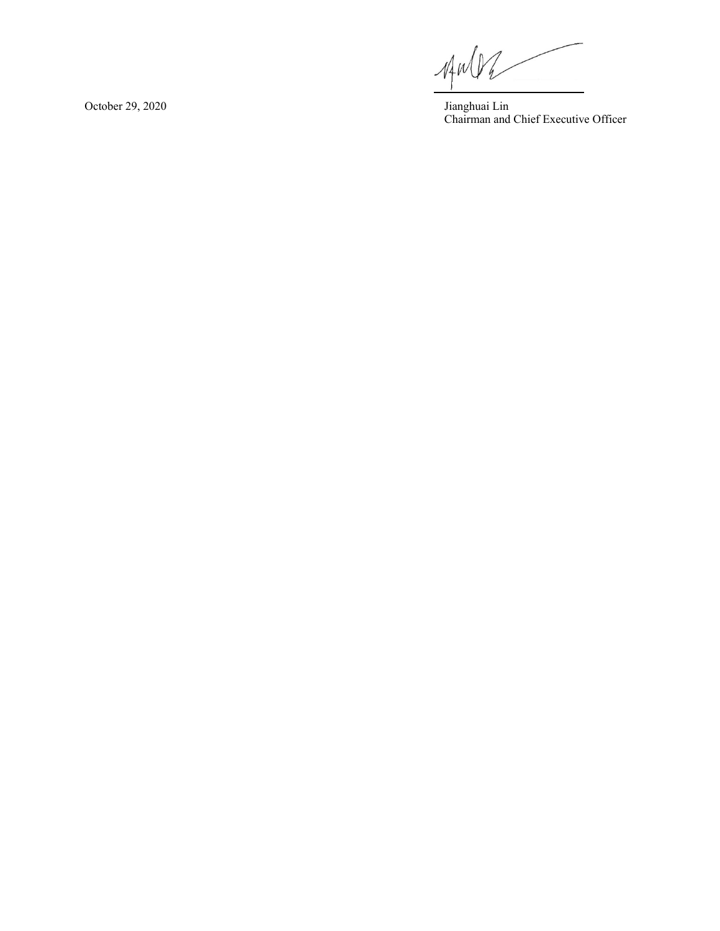$\n *AP*$ 

huai Lin Chairman and Chief Executive Officer

October 29, 2020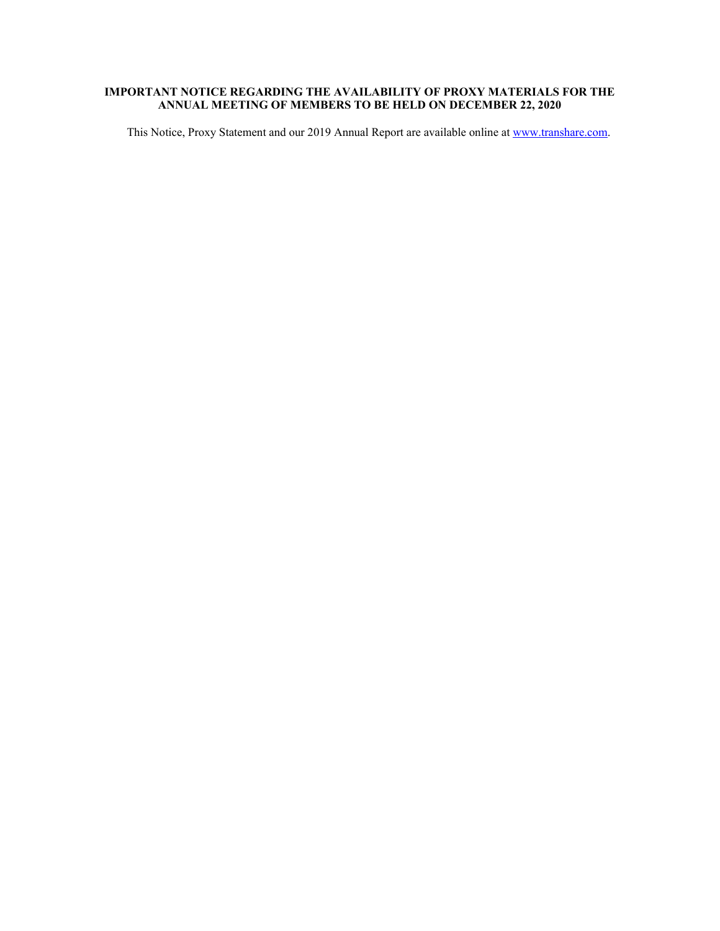# **IMPORTANT NOTICE REGARDING THE AVAILABILITY OF PROXY MATERIALS FOR THE ANNUAL MEETING OF MEMBERS TO BE HELD ON DECEMBER 22, 2020**

This Notice, Proxy Statement and our 2019 Annual Report are available online at [www.transhare.com.](http://www.transhare.com/)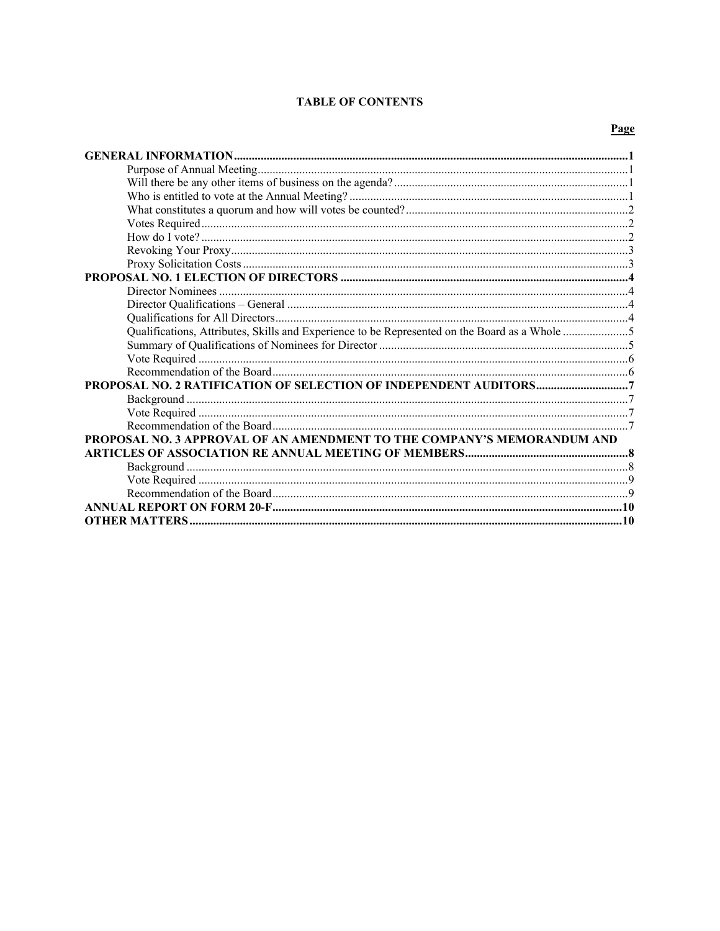### **TABLE OF CONTENTS**

### Page

| Qualifications, Attributes, Skills and Experience to be Represented on the Board as a Whole 5 |  |  |  |
|-----------------------------------------------------------------------------------------------|--|--|--|
|                                                                                               |  |  |  |
|                                                                                               |  |  |  |
|                                                                                               |  |  |  |
|                                                                                               |  |  |  |
|                                                                                               |  |  |  |
|                                                                                               |  |  |  |
|                                                                                               |  |  |  |
| PROPOSAL NO. 3 APPROVAL OF AN AMENDMENT TO THE COMPANY'S MEMORANDUM AND                       |  |  |  |
|                                                                                               |  |  |  |
|                                                                                               |  |  |  |
|                                                                                               |  |  |  |
|                                                                                               |  |  |  |
|                                                                                               |  |  |  |
|                                                                                               |  |  |  |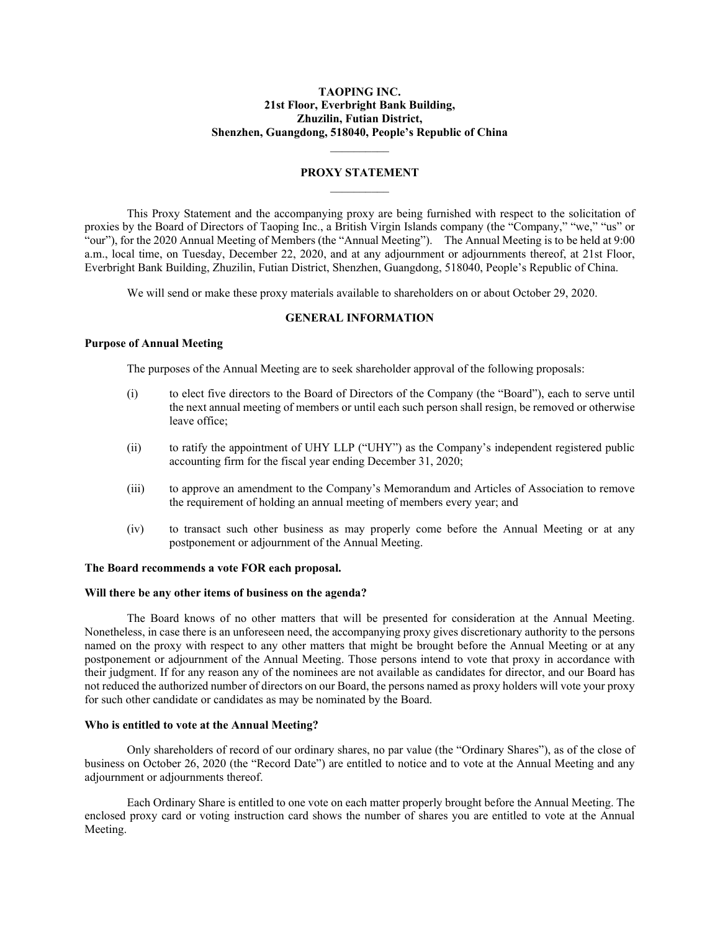### **TAOPING INC. 21st Floor, Everbright Bank Building, Zhuzilin, Futian District, Shenzhen, Guangdong, 518040, People's Republic of China**

### **PROXY STATEMENT**  $\mathcal{L}=\mathcal{L}$

 $\mathcal{L}=\mathcal{L}$ 

This Proxy Statement and the accompanying proxy are being furnished with respect to the solicitation of proxies by the Board of Directors of Taoping Inc., a British Virgin Islands company (the "Company," "we," "us" or "our"), for the 2020 Annual Meeting of Members (the "Annual Meeting"). The Annual Meeting is to be held at 9:00 a.m., local time, on Tuesday, December 22, 2020, and at any adjournment or adjournments thereof, at 21st Floor, Everbright Bank Building, Zhuzilin, Futian District, Shenzhen, Guangdong, 518040, People's Republic of China.

We will send or make these proxy materials available to shareholders on or about October 29, 2020.

#### **GENERAL INFORMATION**

### <span id="page-4-1"></span><span id="page-4-0"></span>**Purpose of Annual Meeting**

The purposes of the Annual Meeting are to seek shareholder approval of the following proposals:

- (i) to elect five directors to the Board of Directors of the Company (the "Board"), each to serve until the next annual meeting of members or until each such person shall resign, be removed or otherwise leave office;
- (ii) to ratify the appointment of UHY LLP ("UHY") as the Company's independent registered public accounting firm for the fiscal year ending December 31, 2020;
- (iii) to approve an amendment to the Company's Memorandum and Articles of Association to remove the requirement of holding an annual meeting of members every year; and
- (iv) to transact such other business as may properly come before the Annual Meeting or at any postponement or adjournment of the Annual Meeting.

### **The Board recommends a vote FOR each proposal.**

#### <span id="page-4-2"></span>**Will there be any other items of business on the agenda?**

The Board knows of no other matters that will be presented for consideration at the Annual Meeting. Nonetheless, in case there is an unforeseen need, the accompanying proxy gives discretionary authority to the persons named on the proxy with respect to any other matters that might be brought before the Annual Meeting or at any postponement or adjournment of the Annual Meeting. Those persons intend to vote that proxy in accordance with their judgment. If for any reason any of the nominees are not available as candidates for director, and our Board has not reduced the authorized number of directors on our Board, the persons named as proxy holders will vote your proxy for such other candidate or candidates as may be nominated by the Board.

#### <span id="page-4-3"></span>**Who is entitled to vote at the Annual Meeting?**

Only shareholders of record of our ordinary shares, no par value (the "Ordinary Shares"), as of the close of business on October 26, 2020 (the "Record Date") are entitled to notice and to vote at the Annual Meeting and any adjournment or adjournments thereof.

Each Ordinary Share is entitled to one vote on each matter properly brought before the Annual Meeting. The enclosed proxy card or voting instruction card shows the number of shares you are entitled to vote at the Annual Meeting.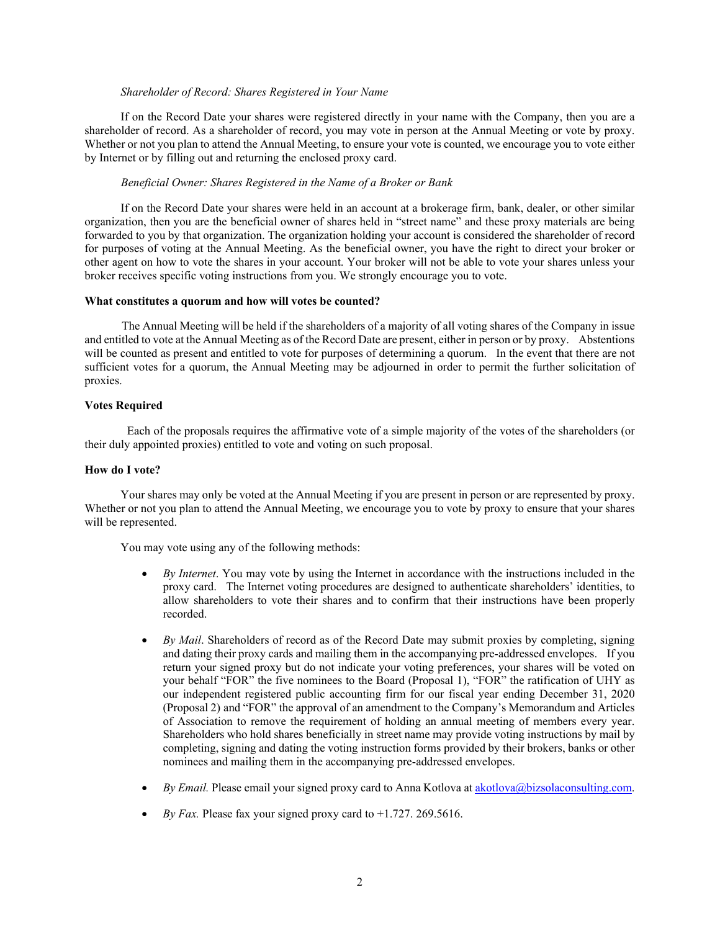### *Shareholder of Record: Shares Registered in Your Name*

If on the Record Date your shares were registered directly in your name with the Company, then you are a shareholder of record. As a shareholder of record, you may vote in person at the Annual Meeting or vote by proxy. Whether or not you plan to attend the Annual Meeting, to ensure your vote is counted, we encourage you to vote either by Internet or by filling out and returning the enclosed proxy card.

#### *Beneficial Owner: Shares Registered in the Name of a Broker or Bank*

If on the Record Date your shares were held in an account at a brokerage firm, bank, dealer, or other similar organization, then you are the beneficial owner of shares held in "street name" and these proxy materials are being forwarded to you by that organization. The organization holding your account is considered the shareholder of record for purposes of voting at the Annual Meeting. As the beneficial owner, you have the right to direct your broker or other agent on how to vote the shares in your account. Your broker will not be able to vote your shares unless your broker receives specific voting instructions from you. We strongly encourage you to vote.

#### <span id="page-5-0"></span>**What constitutes a quorum and how will votes be counted?**

The Annual Meeting will be held if the shareholders of a majority of all voting shares of the Company in issue and entitled to vote at the Annual Meeting as of the Record Date are present, either in person or by proxy. Abstentions will be counted as present and entitled to vote for purposes of determining a quorum. In the event that there are not sufficient votes for a quorum, the Annual Meeting may be adjourned in order to permit the further solicitation of proxies.

### <span id="page-5-1"></span>**Votes Required**

Each of the proposals requires the affirmative vote of a simple majority of the votes of the shareholders (or their duly appointed proxies) entitled to vote and voting on such proposal.

### <span id="page-5-2"></span>**How do I vote?**

Your shares may only be voted at the Annual Meeting if you are present in person or are represented by proxy. Whether or not you plan to attend the Annual Meeting, we encourage you to vote by proxy to ensure that your shares will be represented.

You may vote using any of the following methods:

- *By Internet*. You may vote by using the Internet in accordance with the instructions included in the proxy card. The Internet voting procedures are designed to authenticate shareholders' identities, to allow shareholders to vote their shares and to confirm that their instructions have been properly recorded.
- *By Mail*. Shareholders of record as of the Record Date may submit proxies by completing, signing and dating their proxy cards and mailing them in the accompanying pre-addressed envelopes. If you return your signed proxy but do not indicate your voting preferences, your shares will be voted on your behalf "FOR" the five nominees to the Board (Proposal 1), "FOR" the ratification of UHY as our independent registered public accounting firm for our fiscal year ending December 31, 2020 (Proposal 2) and "FOR" the approval of an amendment to the Company's Memorandum and Articles of Association to remove the requirement of holding an annual meeting of members every year. Shareholders who hold shares beneficially in street name may provide voting instructions by mail by completing, signing and dating the voting instruction forms provided by their brokers, banks or other nominees and mailing them in the accompanying pre-addressed envelopes.
- *By Email.* Please email your signed proxy card to Anna Kotlova at [akotlova@bizsolaconsulting.com.](mailto:akotlova@bizsolaconsulting.com)
- *By Fax.* Please fax your signed proxy card to +1.727. 269.5616.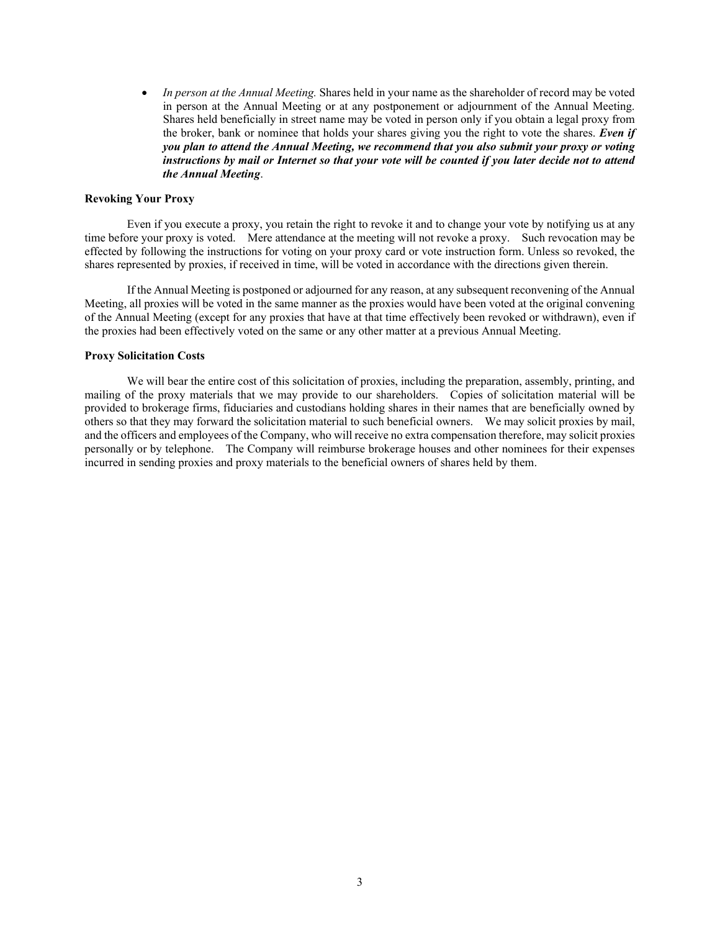• *In person at the Annual Meeting.* Shares held in your name as the shareholder of record may be voted in person at the Annual Meeting or at any postponement or adjournment of the Annual Meeting. Shares held beneficially in street name may be voted in person only if you obtain a legal proxy from the broker, bank or nominee that holds your shares giving you the right to vote the shares. *Even if you plan to attend the Annual Meeting, we recommend that you also submit your proxy or voting instructions by mail or Internet so that your vote will be counted if you later decide not to attend the Annual Meeting*.

#### <span id="page-6-0"></span>**Revoking Your Proxy**

Even if you execute a proxy, you retain the right to revoke it and to change your vote by notifying us at any time before your proxy is voted. Mere attendance at the meeting will not revoke a proxy. Such revocation may be effected by following the instructions for voting on your proxy card or vote instruction form. Unless so revoked, the shares represented by proxies, if received in time, will be voted in accordance with the directions given therein.

If the Annual Meeting is postponed or adjourned for any reason, at any subsequent reconvening of the Annual Meeting, all proxies will be voted in the same manner as the proxies would have been voted at the original convening of the Annual Meeting (except for any proxies that have at that time effectively been revoked or withdrawn), even if the proxies had been effectively voted on the same or any other matter at a previous Annual Meeting.

### <span id="page-6-1"></span>**Proxy Solicitation Costs**

We will bear the entire cost of this solicitation of proxies, including the preparation, assembly, printing, and mailing of the proxy materials that we may provide to our shareholders. Copies of solicitation material will be provided to brokerage firms, fiduciaries and custodians holding shares in their names that are beneficially owned by others so that they may forward the solicitation material to such beneficial owners. We may solicit proxies by mail, and the officers and employees of the Company, who will receive no extra compensation therefore, may solicit proxies personally or by telephone. The Company will reimburse brokerage houses and other nominees for their expenses incurred in sending proxies and proxy materials to the beneficial owners of shares held by them.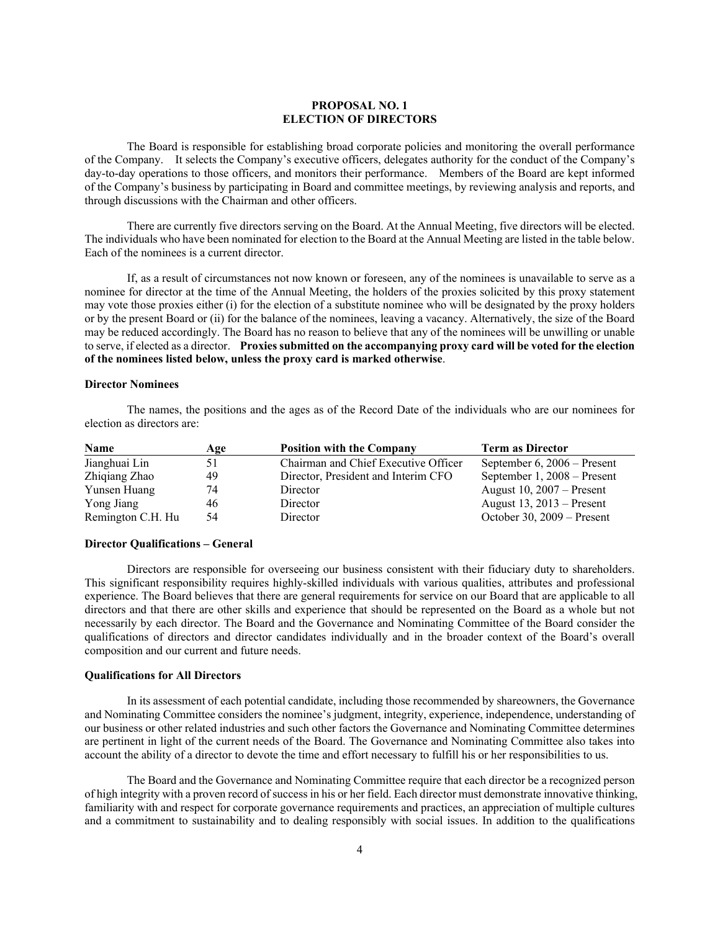### **PROPOSAL NO. 1 ELECTION OF DIRECTORS**

<span id="page-7-0"></span>The Board is responsible for establishing broad corporate policies and monitoring the overall performance of the Company. It selects the Company's executive officers, delegates authority for the conduct of the Company's day-to-day operations to those officers, and monitors their performance. Members of the Board are kept informed of the Company's business by participating in Board and committee meetings, by reviewing analysis and reports, and through discussions with the Chairman and other officers.

There are currently five directors serving on the Board. At the Annual Meeting, five directors will be elected. The individuals who have been nominated for election to the Board at the Annual Meeting are listed in the table below. Each of the nominees is a current director.

If, as a result of circumstances not now known or foreseen, any of the nominees is unavailable to serve as a nominee for director at the time of the Annual Meeting, the holders of the proxies solicited by this proxy statement may vote those proxies either (i) for the election of a substitute nominee who will be designated by the proxy holders or by the present Board or (ii) for the balance of the nominees, leaving a vacancy. Alternatively, the size of the Board may be reduced accordingly. The Board has no reason to believe that any of the nominees will be unwilling or unable to serve, if elected as a director. **Proxies submitted on the accompanying proxy card will be voted for the election of the nominees listed below, unless the proxy card is marked otherwise**.

#### <span id="page-7-1"></span>**Director Nominees**

The names, the positions and the ages as of the Record Date of the individuals who are our nominees for election as directors are:

| <b>Name</b>       | Age | <b>Position with the Company</b>     | <b>Term as Director</b>       |
|-------------------|-----|--------------------------------------|-------------------------------|
| Jianghuai Lin     | 51  | Chairman and Chief Executive Officer | September $6, 2006$ – Present |
| Zhiqiang Zhao     | 49  | Director, President and Interim CFO  | September 1, 2008 – Present   |
| Yunsen Huang      | 74  | Director                             | August 10, $2007 -$ Present   |
| Yong Jiang        | 46  | Director                             | August $13, 2013$ – Present   |
| Remington C.H. Hu | 54  | Director                             | October 30, $2009$ – Present  |

### <span id="page-7-2"></span>**Director Qualifications – General**

Directors are responsible for overseeing our business consistent with their fiduciary duty to shareholders. This significant responsibility requires highly-skilled individuals with various qualities, attributes and professional experience. The Board believes that there are general requirements for service on our Board that are applicable to all directors and that there are other skills and experience that should be represented on the Board as a whole but not necessarily by each director. The Board and the Governance and Nominating Committee of the Board consider the qualifications of directors and director candidates individually and in the broader context of the Board's overall composition and our current and future needs.

#### <span id="page-7-3"></span>**Qualifications for All Directors**

In its assessment of each potential candidate, including those recommended by shareowners, the Governance and Nominating Committee considers the nominee's judgment, integrity, experience, independence, understanding of our business or other related industries and such other factors the Governance and Nominating Committee determines are pertinent in light of the current needs of the Board. The Governance and Nominating Committee also takes into account the ability of a director to devote the time and effort necessary to fulfill his or her responsibilities to us.

The Board and the Governance and Nominating Committee require that each director be a recognized person of high integrity with a proven record of success in his or her field. Each director must demonstrate innovative thinking, familiarity with and respect for corporate governance requirements and practices, an appreciation of multiple cultures and a commitment to sustainability and to dealing responsibly with social issues. In addition to the qualifications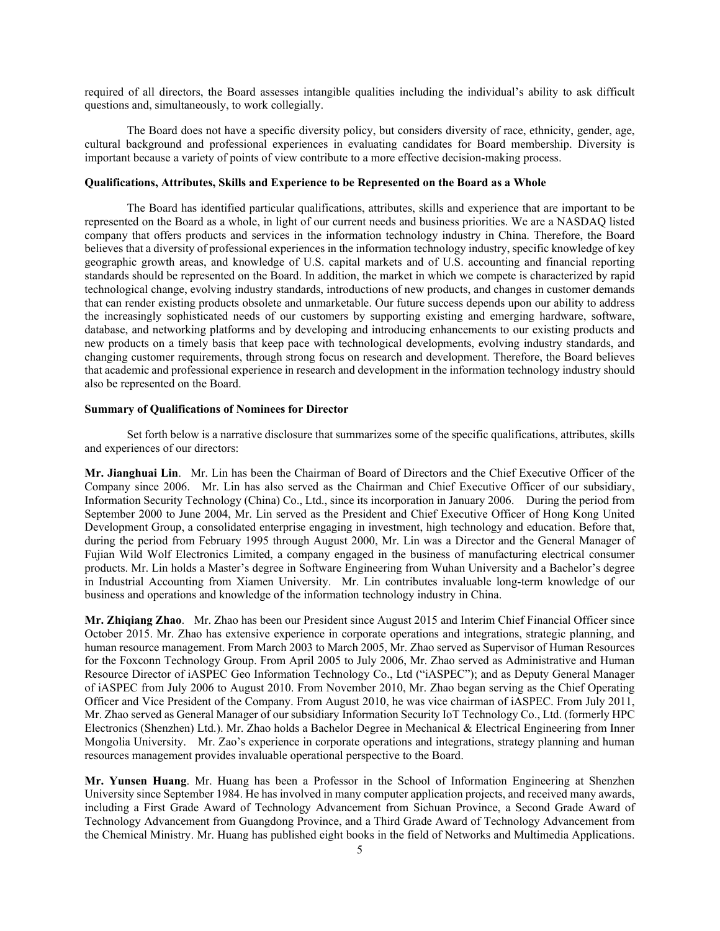required of all directors, the Board assesses intangible qualities including the individual's ability to ask difficult questions and, simultaneously, to work collegially.

The Board does not have a specific diversity policy, but considers diversity of race, ethnicity, gender, age, cultural background and professional experiences in evaluating candidates for Board membership. Diversity is important because a variety of points of view contribute to a more effective decision-making process.

#### <span id="page-8-0"></span>**Qualifications, Attributes, Skills and Experience to be Represented on the Board as a Whole**

The Board has identified particular qualifications, attributes, skills and experience that are important to be represented on the Board as a whole, in light of our current needs and business priorities. We are a NASDAQ listed company that offers products and services in the information technology industry in China. Therefore, the Board believes that a diversity of professional experiences in the information technology industry, specific knowledge of key geographic growth areas, and knowledge of U.S. capital markets and of U.S. accounting and financial reporting standards should be represented on the Board. In addition, the market in which we compete is characterized by rapid technological change, evolving industry standards, introductions of new products, and changes in customer demands that can render existing products obsolete and unmarketable. Our future success depends upon our ability to address the increasingly sophisticated needs of our customers by supporting existing and emerging hardware, software, database, and networking platforms and by developing and introducing enhancements to our existing products and new products on a timely basis that keep pace with technological developments, evolving industry standards, and changing customer requirements, through strong focus on research and development. Therefore, the Board believes that academic and professional experience in research and development in the information technology industry should also be represented on the Board.

#### <span id="page-8-1"></span>**Summary of Qualifications of Nominees for Director**

Set forth below is a narrative disclosure that summarizes some of the specific qualifications, attributes, skills and experiences of our directors:

**Mr. Jianghuai Lin**. Mr. Lin has been the Chairman of Board of Directors and the Chief Executive Officer of the Company since 2006. Mr. Lin has also served as the Chairman and Chief Executive Officer of our subsidiary, Information Security Technology (China) Co., Ltd., since its incorporation in January 2006. During the period from September 2000 to June 2004, Mr. Lin served as the President and Chief Executive Officer of Hong Kong United Development Group, a consolidated enterprise engaging in investment, high technology and education. Before that, during the period from February 1995 through August 2000, Mr. Lin was a Director and the General Manager of Fujian Wild Wolf Electronics Limited, a company engaged in the business of manufacturing electrical consumer products. Mr. Lin holds a Master's degree in Software Engineering from Wuhan University and a Bachelor's degree in Industrial Accounting from Xiamen University. Mr. Lin contributes invaluable long-term knowledge of our business and operations and knowledge of the information technology industry in China.

**Mr. Zhiqiang Zhao**. Mr. Zhao has been our President since August 2015 and Interim Chief Financial Officer since October 2015. Mr. Zhao has extensive experience in corporate operations and integrations, strategic planning, and human resource management. From March 2003 to March 2005, Mr. Zhao served as Supervisor of Human Resources for the Foxconn Technology Group. From April 2005 to July 2006, Mr. Zhao served as Administrative and Human Resource Director of iASPEC Geo Information Technology Co., Ltd ("iASPEC"); and as Deputy General Manager of iASPEC from July 2006 to August 2010. From November 2010, Mr. Zhao began serving as the Chief Operating Officer and Vice President of the Company. From August 2010, he was vice chairman of iASPEC. From July 2011, Mr. Zhao served as General Manager of our subsidiary Information Security IoT Technology Co., Ltd. (formerly HPC Electronics (Shenzhen) Ltd.). Mr. Zhao holds a Bachelor Degree in Mechanical & Electrical Engineering from Inner Mongolia University. Mr. Zao's experience in corporate operations and integrations, strategy planning and human resources management provides invaluable operational perspective to the Board.

**Mr. Yunsen Huang**. Mr. Huang has been a Professor in the School of Information Engineering at Shenzhen University since September 1984. He has involved in many computer application projects, and received many awards, including a First Grade Award of Technology Advancement from Sichuan Province, a Second Grade Award of Technology Advancement from Guangdong Province, and a Third Grade Award of Technology Advancement from the Chemical Ministry. Mr. Huang has published eight books in the field of Networks and Multimedia Applications.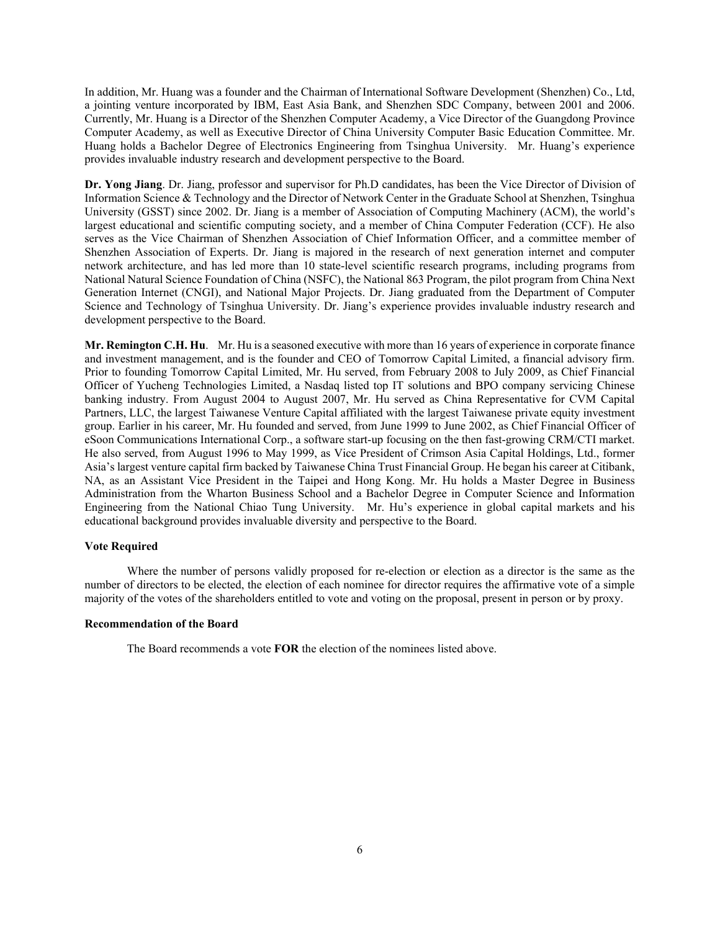In addition, Mr. Huang was a founder and the Chairman of International Software Development (Shenzhen) Co., Ltd, a jointing venture incorporated by IBM, East Asia Bank, and Shenzhen SDC Company, between 2001 and 2006. Currently, Mr. Huang is a Director of the Shenzhen Computer Academy, a Vice Director of the Guangdong Province Computer Academy, as well as Executive Director of China University Computer Basic Education Committee. Mr. Huang holds a Bachelor Degree of Electronics Engineering from Tsinghua University. Mr. Huang's experience provides invaluable industry research and development perspective to the Board.

**Dr. Yong Jiang**. Dr. Jiang, professor and supervisor for Ph.D candidates, has been the Vice Director of Division of Information Science & Technology and the Director of Network Center in the Graduate School at Shenzhen, Tsinghua University (GSST) since 2002. Dr. Jiang is a member of Association of Computing Machinery (ACM), the world's largest educational and scientific computing society, and a member of China Computer Federation (CCF). He also serves as the Vice Chairman of Shenzhen Association of Chief Information Officer, and a committee member of Shenzhen Association of Experts. Dr. Jiang is majored in the research of next generation internet and computer network architecture, and has led more than 10 state-level scientific research programs, including programs from National Natural Science Foundation of China (NSFC), the National 863 Program, the pilot program from China Next Generation Internet (CNGI), and National Major Projects. Dr. Jiang graduated from the Department of Computer Science and Technology of Tsinghua University. Dr. Jiang's experience provides invaluable industry research and development perspective to the Board.

**Mr. Remington C.H. Hu**. Mr. Hu is a seasoned executive with more than 16 years of experience in corporate finance and investment management, and is the founder and CEO of Tomorrow Capital Limited, a financial advisory firm. Prior to founding Tomorrow Capital Limited, Mr. Hu served, from February 2008 to July 2009, as Chief Financial Officer of Yucheng Technologies Limited, a Nasdaq listed top IT solutions and BPO company servicing Chinese banking industry. From August 2004 to August 2007, Mr. Hu served as China Representative for CVM Capital Partners, LLC, the largest Taiwanese Venture Capital affiliated with the largest Taiwanese private equity investment group. Earlier in his career, Mr. Hu founded and served, from June 1999 to June 2002, as Chief Financial Officer of eSoon Communications International Corp., a software start-up focusing on the then fast-growing CRM/CTI market. He also served, from August 1996 to May 1999, as Vice President of Crimson Asia Capital Holdings, Ltd., former Asia's largest venture capital firm backed by Taiwanese China Trust Financial Group. He began his career at Citibank, NA, as an Assistant Vice President in the Taipei and Hong Kong. Mr. Hu holds a Master Degree in Business Administration from the Wharton Business School and a Bachelor Degree in Computer Science and Information Engineering from the National Chiao Tung University. Mr. Hu's experience in global capital markets and his educational background provides invaluable diversity and perspective to the Board.

#### <span id="page-9-0"></span>**Vote Required**

Where the number of persons validly proposed for re-election or election as a director is the same as the number of directors to be elected, the election of each nominee for director requires the affirmative vote of a simple majority of the votes of the shareholders entitled to vote and voting on the proposal, present in person or by proxy.

#### <span id="page-9-1"></span>**Recommendation of the Board**

The Board recommends a vote **FOR** the election of the nominees listed above.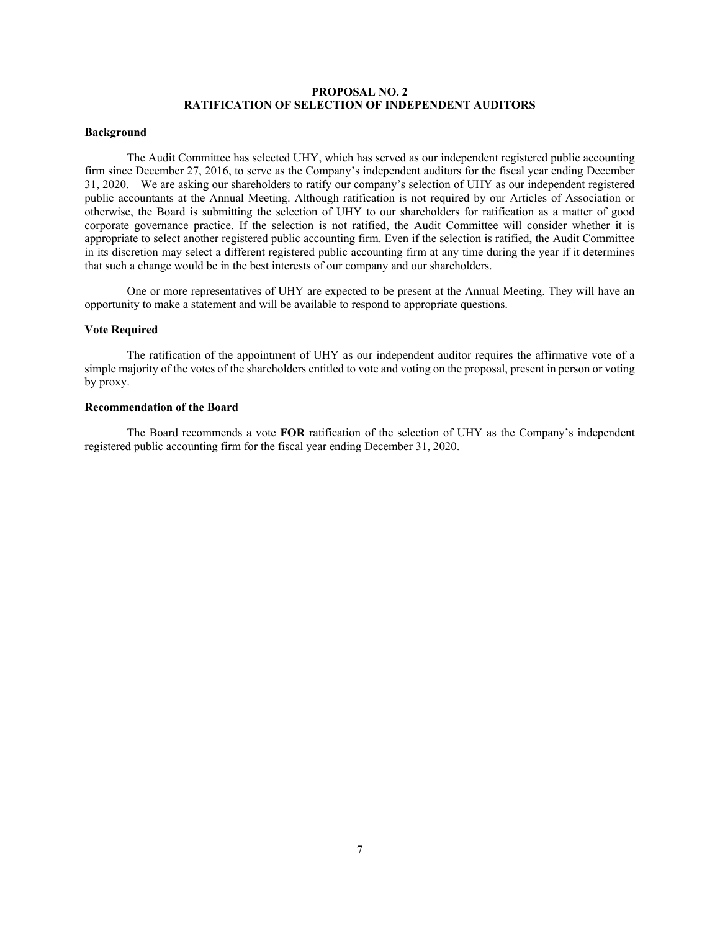### **PROPOSAL NO. 2 RATIFICATION OF SELECTION OF INDEPENDENT AUDITORS**

#### <span id="page-10-1"></span><span id="page-10-0"></span>**Background**

The Audit Committee has selected UHY, which has served as our independent registered public accounting firm since December 27, 2016, to serve as the Company's independent auditors for the fiscal year ending December 31, 2020. We are asking our shareholders to ratify our company's selection of UHY as our independent registered public accountants at the Annual Meeting. Although ratification is not required by our Articles of Association or otherwise, the Board is submitting the selection of UHY to our shareholders for ratification as a matter of good corporate governance practice. If the selection is not ratified, the Audit Committee will consider whether it is appropriate to select another registered public accounting firm. Even if the selection is ratified, the Audit Committee in its discretion may select a different registered public accounting firm at any time during the year if it determines that such a change would be in the best interests of our company and our shareholders.

One or more representatives of UHY are expected to be present at the Annual Meeting. They will have an opportunity to make a statement and will be available to respond to appropriate questions.

#### <span id="page-10-2"></span>**Vote Required**

The ratification of the appointment of UHY as our independent auditor requires the affirmative vote of a simple majority of the votes of the shareholders entitled to vote and voting on the proposal, present in person or voting by proxy.

### <span id="page-10-3"></span>**Recommendation of the Board**

The Board recommends a vote **FOR** ratification of the selection of UHY as the Company's independent registered public accounting firm for the fiscal year ending December 31, 2020.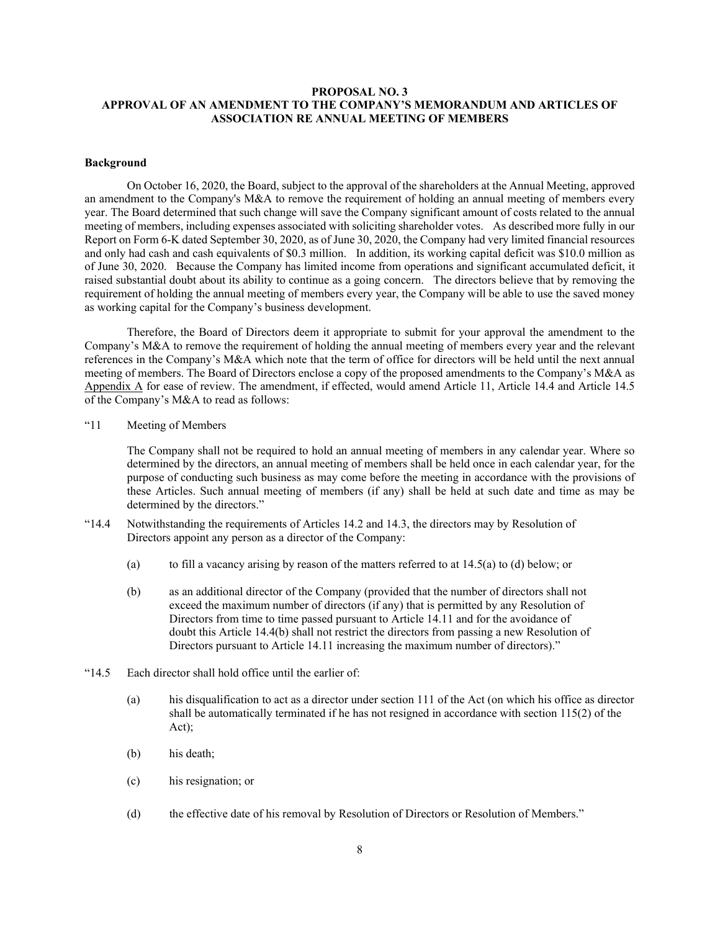### <span id="page-11-0"></span>**PROPOSAL NO. 3 APPROVAL OF AN AMENDMENT TO THE COMPANY'S MEMORANDUM AND ARTICLES OF ASSOCIATION RE ANNUAL MEETING OF MEMBERS**

### <span id="page-11-1"></span>**Background**

On October 16, 2020, the Board, subject to the approval of the shareholders at the Annual Meeting, approved an amendment to the Company's M&A to remove the requirement of holding an annual meeting of members every year. The Board determined that such change will save the Company significant amount of costs related to the annual meeting of members, including expenses associated with soliciting shareholder votes. As described more fully in our Report on Form 6-K dated September 30, 2020, as of June 30, 2020, the Company had very limited financial resources and only had cash and cash equivalents of \$0.3 million. In addition, its working capital deficit was \$10.0 million as of June 30, 2020. Because the Company has limited income from operations and significant accumulated deficit, it raised substantial doubt about its ability to continue as a going concern. The directors believe that by removing the requirement of holding the annual meeting of members every year, the Company will be able to use the saved money as working capital for the Company's business development.

Therefore, the Board of Directors deem it appropriate to submit for your approval the amendment to the Company's M&A to remove the requirement of holding the annual meeting of members every year and the relevant references in the Company's M&A which note that the term of office for directors will be held until the next annual meeting of members. The Board of Directors enclose a copy of the proposed amendments to the Company's M&A as Appendix A for ease of review. The amendment, if effected, would amend Article 11, Article 14.4 and Article 14.5 of the Company's M&A to read as follows:

"11 Meeting of Members

The Company shall not be required to hold an annual meeting of members in any calendar year. Where so determined by the directors, an annual meeting of members shall be held once in each calendar year, for the purpose of conducting such business as may come before the meeting in accordance with the provisions of these Articles. Such annual meeting of members (if any) shall be held at such date and time as may be determined by the directors."

- "14.4 Notwithstanding the requirements of Articles 14.2 and 14.3, the directors may by Resolution of Directors appoint any person as a director of the Company:
	- (a) to fill a vacancy arising by reason of the matters referred to at  $14.5(a)$  to (d) below; or
	- (b) as an additional director of the Company (provided that the number of directors shall not exceed the maximum number of directors (if any) that is permitted by any Resolution of Directors from time to time passed pursuant to Article 14.11 and for the avoidance of doubt this Article 14.4(b) shall not restrict the directors from passing a new Resolution of Directors pursuant to Article 14.11 increasing the maximum number of directors)."
- "14.5 Each director shall hold office until the earlier of:
	- (a) his disqualification to act as a director under section 111 of the Act (on which his office as director shall be automatically terminated if he has not resigned in accordance with section 115(2) of the Act);
	- (b) his death;
	- (c) his resignation; or
	- (d) the effective date of his removal by Resolution of Directors or Resolution of Members."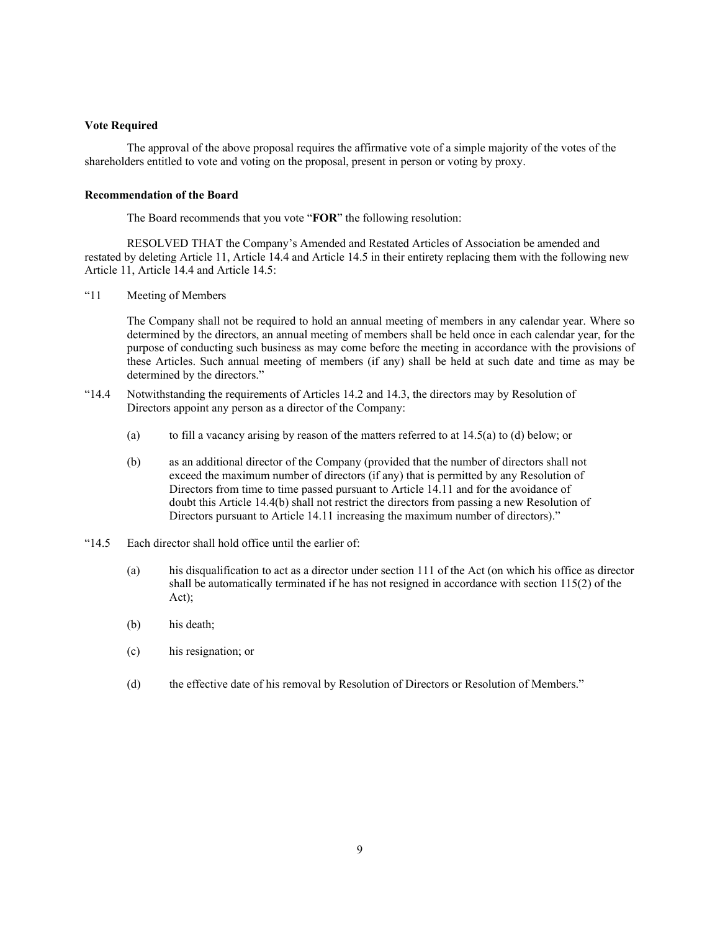### <span id="page-12-0"></span>**Vote Required**

The approval of the above proposal requires the affirmative vote of a simple majority of the votes of the shareholders entitled to vote and voting on the proposal, present in person or voting by proxy.

#### <span id="page-12-1"></span>**Recommendation of the Board**

The Board recommends that you vote "**FOR**" the following resolution:

RESOLVED THAT the Company's Amended and Restated Articles of Association be amended and restated by deleting Article 11, Article 14.4 and Article 14.5 in their entirety replacing them with the following new Article 11, Article 14.4 and Article 14.5:

"11 Meeting of Members

The Company shall not be required to hold an annual meeting of members in any calendar year. Where so determined by the directors, an annual meeting of members shall be held once in each calendar year, for the purpose of conducting such business as may come before the meeting in accordance with the provisions of these Articles. Such annual meeting of members (if any) shall be held at such date and time as may be determined by the directors."

- "14.4 Notwithstanding the requirements of Articles 14.2 and 14.3, the directors may by Resolution of Directors appoint any person as a director of the Company:
	- (a) to fill a vacancy arising by reason of the matters referred to at  $14.5(a)$  to (d) below; or
	- (b) as an additional director of the Company (provided that the number of directors shall not exceed the maximum number of directors (if any) that is permitted by any Resolution of Directors from time to time passed pursuant to Article 14.11 and for the avoidance of doubt this Article 14.4(b) shall not restrict the directors from passing a new Resolution of Directors pursuant to Article 14.11 increasing the maximum number of directors)."
- "14.5 Each director shall hold office until the earlier of:
	- (a) his disqualification to act as a director under section 111 of the Act (on which his office as director shall be automatically terminated if he has not resigned in accordance with section 115(2) of the Act);
	- (b) his death;
	- (c) his resignation; or
	- (d) the effective date of his removal by Resolution of Directors or Resolution of Members."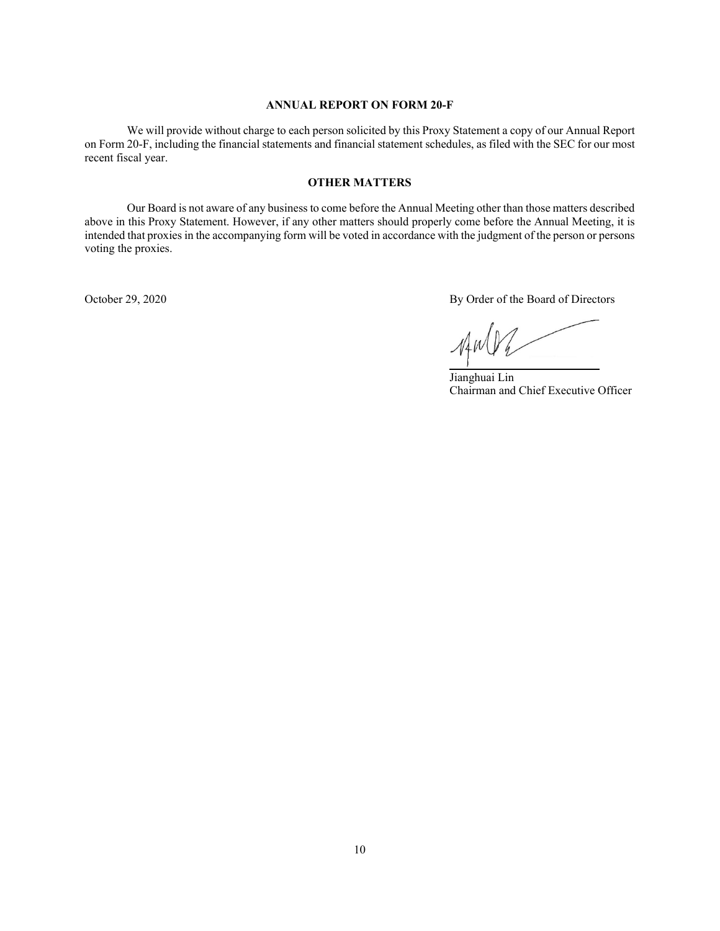#### **ANNUAL REPORT ON FORM 20-F**

<span id="page-13-0"></span>We will provide without charge to each person solicited by this Proxy Statement a copy of our Annual Report on Form 20-F, including the financial statements and financial statement schedules, as filed with the SEC for our most recent fiscal year.

### **OTHER MATTERS**

<span id="page-13-1"></span>Our Board is not aware of any business to come before the Annual Meeting other than those matters described above in this Proxy Statement. However, if any other matters should properly come before the Annual Meeting, it is intended that proxies in the accompanying form will be voted in accordance with the judgment of the person or persons voting the proxies.

October 29, 2020 By Order of the Board of Directors

 $\mathcal{N}$ 

Jianghuai Lin Chairman and Chief Executive Officer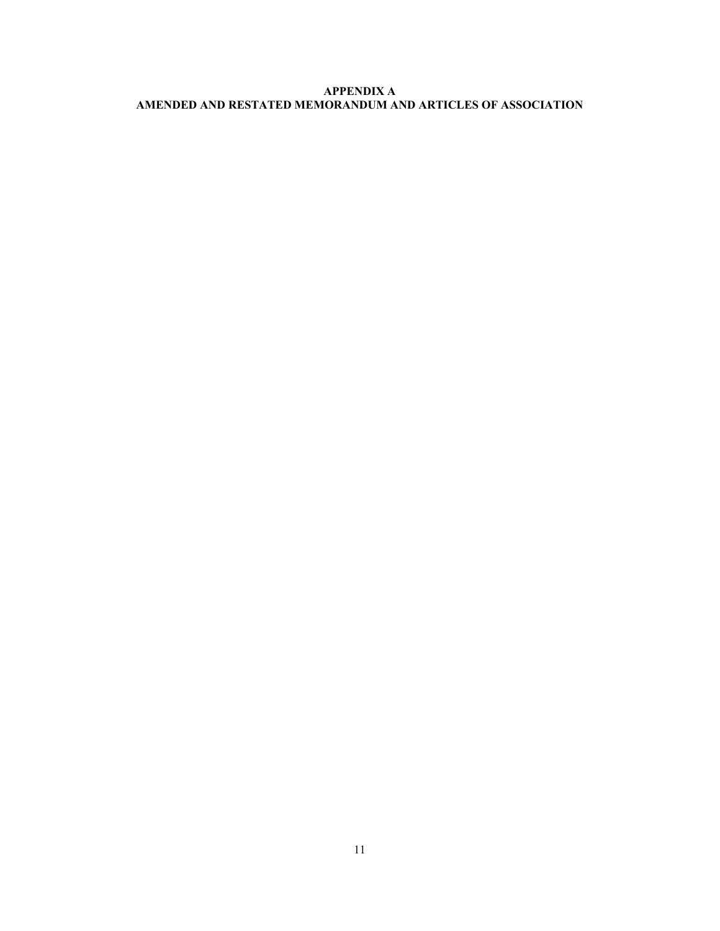# **APPENDIX A AMENDED AND RESTATED MEMORANDUM AND ARTICLES OF ASSOCIATION**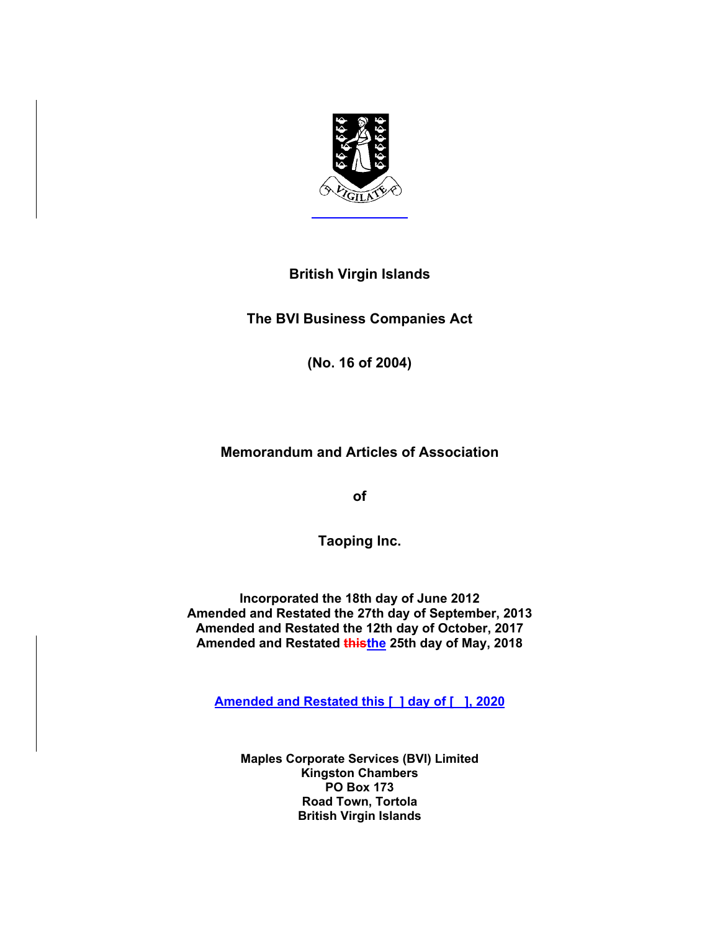

# **British Virgin Islands**

**The BVI Business Companies Act** 

**(No. 16 of 2004)** 

# **Memorandum and Articles of Association**

**of** 

**Taoping Inc.** 

**Incorporated the 18th day of June 2012 Amended and Restated the 27th day of September, 2013 Amended and Restated the 12th day of October, 2017 Amended and Restated thisthe 25th day of May, 2018** 

**Amended and Restated this [ ] day of [ ], 2020** 

**Maples Corporate Services (BVI) Limited Kingston Chambers PO Box 173 Road Town, Tortola British Virgin Islands**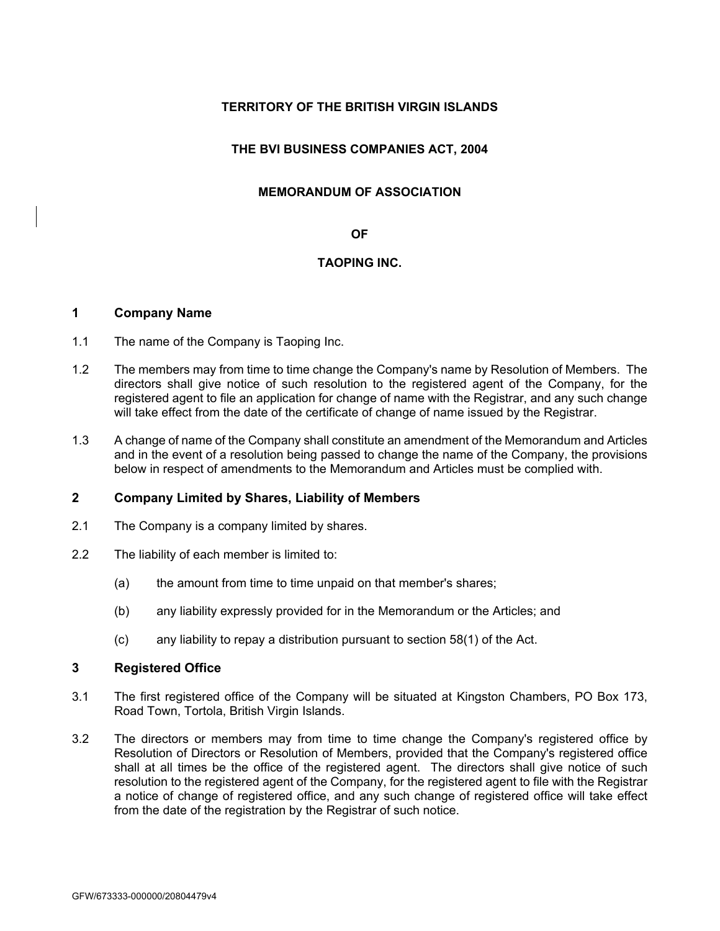# **TERRITORY OF THE BRITISH VIRGIN ISLANDS**

# **THE BVI BUSINESS COMPANIES ACT, 2004**

### **MEMORANDUM OF ASSOCIATION**

### **OF**

# **TAOPING INC.**

# **1 Company Name**

- 1.1 The name of the Company is Taoping Inc.
- 1.2 The members may from time to time change the Company's name by Resolution of Members. The directors shall give notice of such resolution to the registered agent of the Company, for the registered agent to file an application for change of name with the Registrar, and any such change will take effect from the date of the certificate of change of name issued by the Registrar.
- 1.3 A change of name of the Company shall constitute an amendment of the Memorandum and Articles and in the event of a resolution being passed to change the name of the Company, the provisions below in respect of amendments to the Memorandum and Articles must be complied with.

# **2 Company Limited by Shares, Liability of Members**

- 2.1 The Company is a company limited by shares.
- 2.2 The liability of each member is limited to:
	- (a) the amount from time to time unpaid on that member's shares;
	- (b) any liability expressly provided for in the Memorandum or the Articles; and
	- (c) any liability to repay a distribution pursuant to section 58(1) of the Act.

# **3 Registered Office**

- 3.1 The first registered office of the Company will be situated at Kingston Chambers, PO Box 173, Road Town, Tortola, British Virgin Islands.
- 3.2 The directors or members may from time to time change the Company's registered office by Resolution of Directors or Resolution of Members, provided that the Company's registered office shall at all times be the office of the registered agent. The directors shall give notice of such resolution to the registered agent of the Company, for the registered agent to file with the Registrar a notice of change of registered office, and any such change of registered office will take effect from the date of the registration by the Registrar of such notice.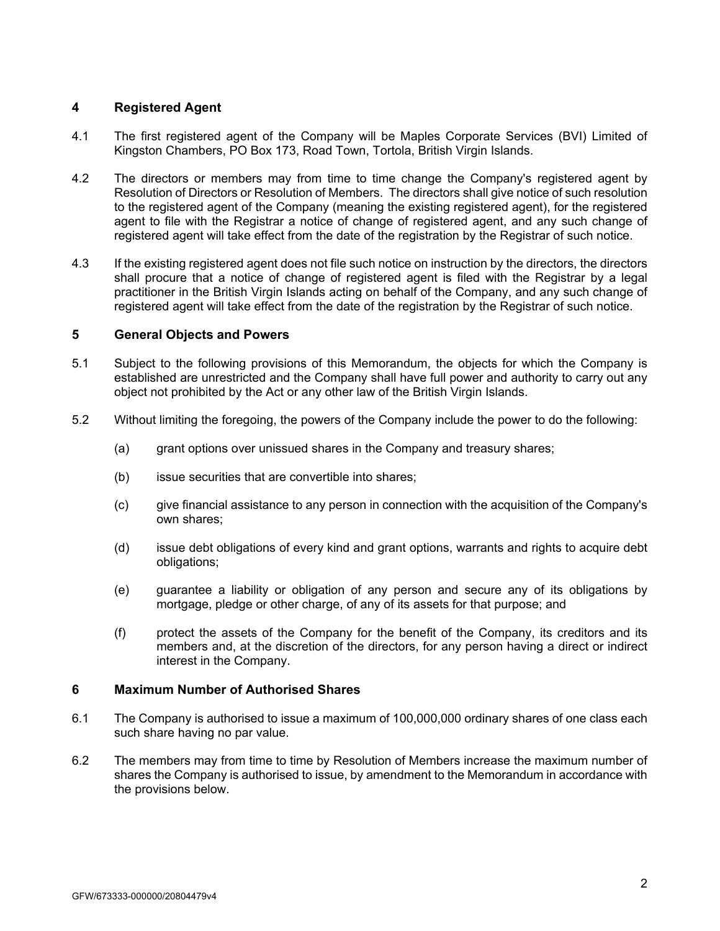# **4 Registered Agent**

- 4.1 The first registered agent of the Company will be Maples Corporate Services (BVI) Limited of Kingston Chambers, PO Box 173, Road Town, Tortola, British Virgin Islands.
- 4.2 The directors or members may from time to time change the Company's registered agent by Resolution of Directors or Resolution of Members. The directors shall give notice of such resolution to the registered agent of the Company (meaning the existing registered agent), for the registered agent to file with the Registrar a notice of change of registered agent, and any such change of registered agent will take effect from the date of the registration by the Registrar of such notice.
- 4.3 If the existing registered agent does not file such notice on instruction by the directors, the directors shall procure that a notice of change of registered agent is filed with the Registrar by a legal practitioner in the British Virgin Islands acting on behalf of the Company, and any such change of registered agent will take effect from the date of the registration by the Registrar of such notice.

# **5 General Objects and Powers**

- 5.1 Subject to the following provisions of this Memorandum, the objects for which the Company is established are unrestricted and the Company shall have full power and authority to carry out any object not prohibited by the Act or any other law of the British Virgin Islands.
- 5.2 Without limiting the foregoing, the powers of the Company include the power to do the following:
	- (a) grant options over unissued shares in the Company and treasury shares;
	- (b) issue securities that are convertible into shares;
	- (c) give financial assistance to any person in connection with the acquisition of the Company's own shares;
	- (d) issue debt obligations of every kind and grant options, warrants and rights to acquire debt obligations;
	- (e) guarantee a liability or obligation of any person and secure any of its obligations by mortgage, pledge or other charge, of any of its assets for that purpose; and
	- (f) protect the assets of the Company for the benefit of the Company, its creditors and its members and, at the discretion of the directors, for any person having a direct or indirect interest in the Company.

# **6 Maximum Number of Authorised Shares**

- 6.1 The Company is authorised to issue a maximum of 100,000,000 ordinary shares of one class each such share having no par value.
- 6.2 The members may from time to time by Resolution of Members increase the maximum number of shares the Company is authorised to issue, by amendment to the Memorandum in accordance with the provisions below.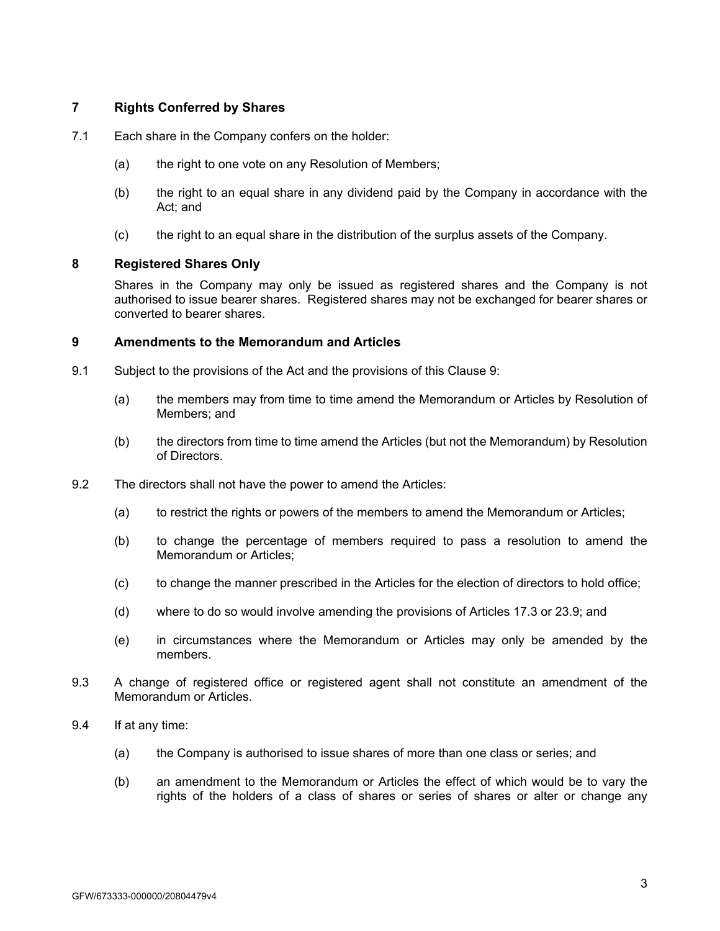# **7 Rights Conferred by Shares**

- 7.1 Each share in the Company confers on the holder:
	- (a) the right to one vote on any Resolution of Members;
	- (b) the right to an equal share in any dividend paid by the Company in accordance with the Act; and
	- (c) the right to an equal share in the distribution of the surplus assets of the Company.

### **8 Registered Shares Only**

Shares in the Company may only be issued as registered shares and the Company is not authorised to issue bearer shares. Registered shares may not be exchanged for bearer shares or converted to bearer shares.

# **9 Amendments to the Memorandum and Articles**

- 9.1 Subject to the provisions of the Act and the provisions of this Clause 9:
	- (a) the members may from time to time amend the Memorandum or Articles by Resolution of Members; and
	- (b) the directors from time to time amend the Articles (but not the Memorandum) by Resolution of Directors.
- 9.2 The directors shall not have the power to amend the Articles:
	- (a) to restrict the rights or powers of the members to amend the Memorandum or Articles;
	- (b) to change the percentage of members required to pass a resolution to amend the Memorandum or Articles;
	- (c) to change the manner prescribed in the Articles for the election of directors to hold office;
	- (d) where to do so would involve amending the provisions of Articles 17.3 or 23.9; and
	- (e) in circumstances where the Memorandum or Articles may only be amended by the members.
- 9.3 A change of registered office or registered agent shall not constitute an amendment of the Memorandum or Articles.
- 9.4 If at any time:
	- (a) the Company is authorised to issue shares of more than one class or series; and
	- (b) an amendment to the Memorandum or Articles the effect of which would be to vary the rights of the holders of a class of shares or series of shares or alter or change any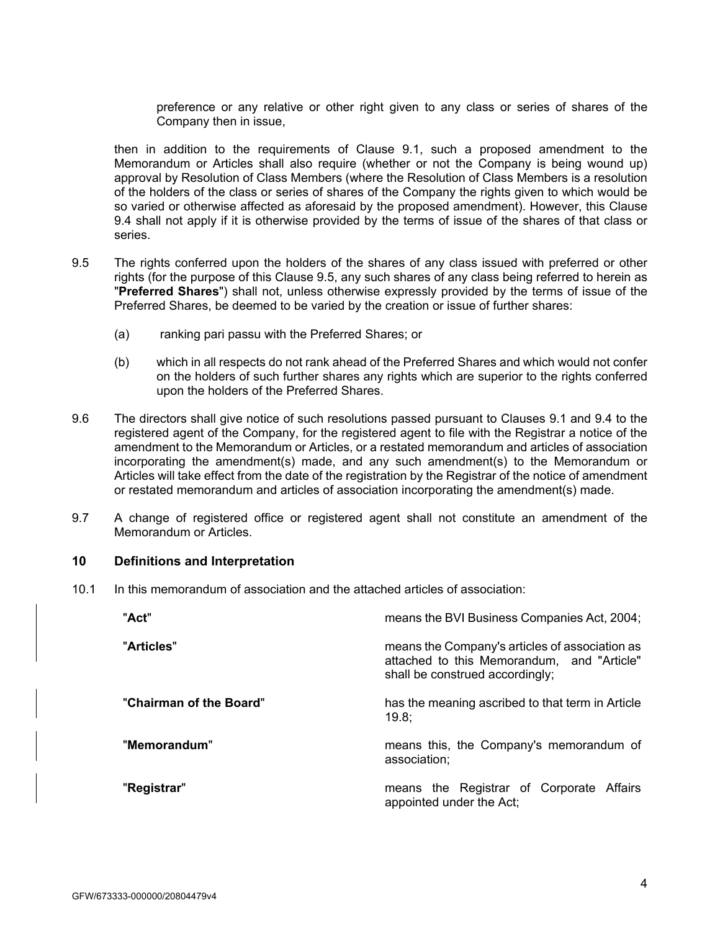preference or any relative or other right given to any class or series of shares of the Company then in issue,

then in addition to the requirements of Clause 9.1, such a proposed amendment to the Memorandum or Articles shall also require (whether or not the Company is being wound up) approval by Resolution of Class Members (where the Resolution of Class Members is a resolution of the holders of the class or series of shares of the Company the rights given to which would be so varied or otherwise affected as aforesaid by the proposed amendment). However, this Clause 9.4 shall not apply if it is otherwise provided by the terms of issue of the shares of that class or series.

- 9.5 The rights conferred upon the holders of the shares of any class issued with preferred or other rights (for the purpose of this Clause 9.5, any such shares of any class being referred to herein as "**Preferred Shares**") shall not, unless otherwise expressly provided by the terms of issue of the Preferred Shares, be deemed to be varied by the creation or issue of further shares:
	- (a) ranking pari passu with the Preferred Shares; or
	- (b) which in all respects do not rank ahead of the Preferred Shares and which would not confer on the holders of such further shares any rights which are superior to the rights conferred upon the holders of the Preferred Shares.
- 9.6 The directors shall give notice of such resolutions passed pursuant to Clauses 9.1 and 9.4 to the registered agent of the Company, for the registered agent to file with the Registrar a notice of the amendment to the Memorandum or Articles, or a restated memorandum and articles of association incorporating the amendment(s) made, and any such amendment(s) to the Memorandum or Articles will take effect from the date of the registration by the Registrar of the notice of amendment or restated memorandum and articles of association incorporating the amendment(s) made.
- 9.7 A change of registered office or registered agent shall not constitute an amendment of the Memorandum or Articles.

### **10 Definitions and Interpretation**

10.1 In this memorandum of association and the attached articles of association:

| "Act"                   | means the BVI Business Companies Act, 2004;                                                                                     |  |
|-------------------------|---------------------------------------------------------------------------------------------------------------------------------|--|
| "Articles"              | means the Company's articles of association as<br>attached to this Memorandum, and "Article"<br>shall be construed accordingly; |  |
| "Chairman of the Board" | has the meaning ascribed to that term in Article<br>19.8:                                                                       |  |
| "Memorandum"            | means this, the Company's memorandum of<br>association;                                                                         |  |
| "Registrar"             | means the Registrar of Corporate Affairs<br>appointed under the Act;                                                            |  |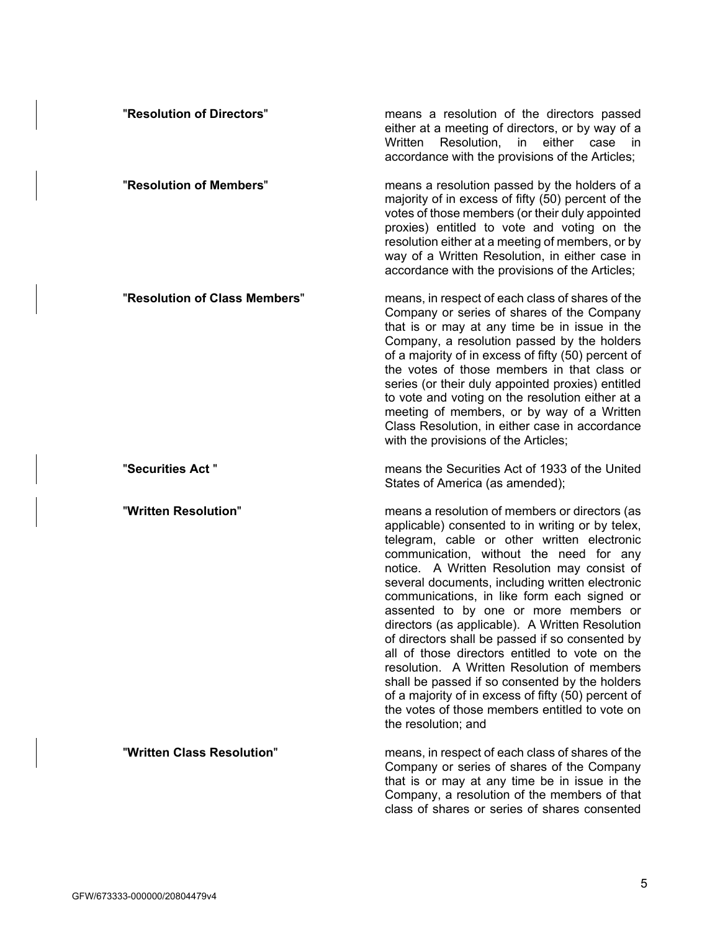| "Resolution of Directors"     | means a resolution of the directors passed<br>either at a meeting of directors, or by way of a<br>Resolution, in either case<br>Written<br>in in<br>accordance with the provisions of the Articles;                                                                                                                                                                                                                                                                                                                                                                                                                                                                                                                                                                             |
|-------------------------------|---------------------------------------------------------------------------------------------------------------------------------------------------------------------------------------------------------------------------------------------------------------------------------------------------------------------------------------------------------------------------------------------------------------------------------------------------------------------------------------------------------------------------------------------------------------------------------------------------------------------------------------------------------------------------------------------------------------------------------------------------------------------------------|
| "Resolution of Members"       | means a resolution passed by the holders of a<br>majority of in excess of fifty (50) percent of the<br>votes of those members (or their duly appointed<br>proxies) entitled to vote and voting on the<br>resolution either at a meeting of members, or by<br>way of a Written Resolution, in either case in<br>accordance with the provisions of the Articles;                                                                                                                                                                                                                                                                                                                                                                                                                  |
| "Resolution of Class Members" | means, in respect of each class of shares of the<br>Company or series of shares of the Company<br>that is or may at any time be in issue in the<br>Company, a resolution passed by the holders<br>of a majority of in excess of fifty (50) percent of<br>the votes of those members in that class or<br>series (or their duly appointed proxies) entitled<br>to vote and voting on the resolution either at a<br>meeting of members, or by way of a Written<br>Class Resolution, in either case in accordance<br>with the provisions of the Articles;                                                                                                                                                                                                                           |
| "Securities Act"              | means the Securities Act of 1933 of the United<br>States of America (as amended);                                                                                                                                                                                                                                                                                                                                                                                                                                                                                                                                                                                                                                                                                               |
| "Written Resolution"          | means a resolution of members or directors (as<br>applicable) consented to in writing or by telex,<br>telegram, cable or other written electronic<br>communication, without the need for any<br>notice. A Written Resolution may consist of<br>several documents, including written electronic<br>communications, in like form each signed or<br>assented to by one or more members or<br>directors (as applicable). A Written Resolution<br>of directors shall be passed if so consented by<br>all of those directors entitled to vote on the<br>resolution. A Written Resolution of members<br>shall be passed if so consented by the holders<br>of a majority of in excess of fifty (50) percent of<br>the votes of those members entitled to vote on<br>the resolution; and |
| "Written Class Resolution"    | means, in respect of each class of shares of the<br>Company or series of shares of the Company<br>that is or may at any time be in issue in the<br>Company, a resolution of the members of that<br>class of shares or series of shares consented                                                                                                                                                                                                                                                                                                                                                                                                                                                                                                                                |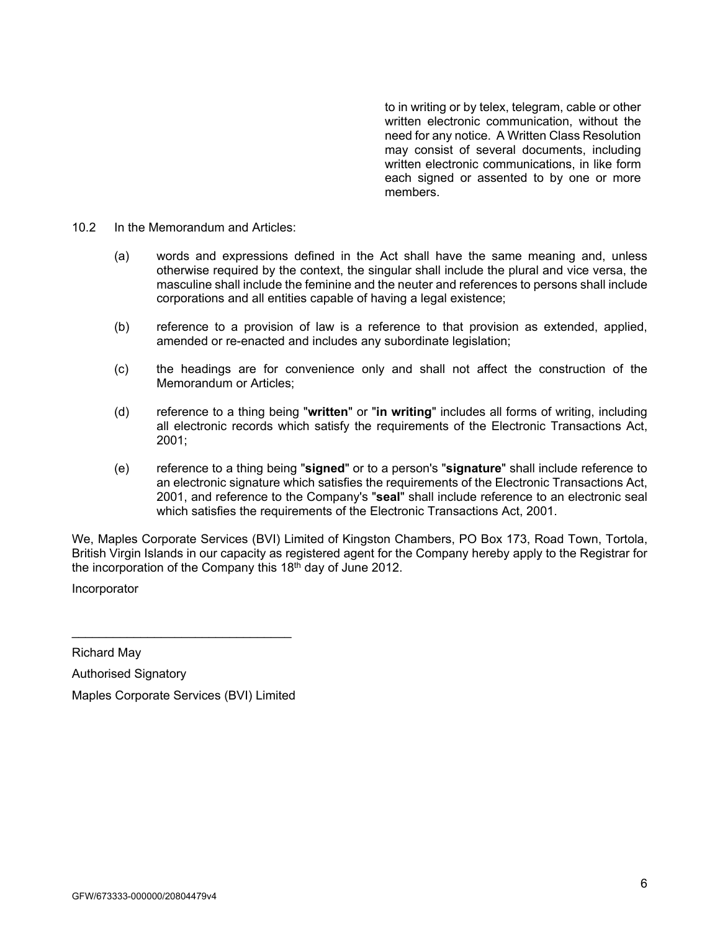to in writing or by telex, telegram, cable or other written electronic communication, without the need for any notice. A Written Class Resolution may consist of several documents, including written electronic communications, in like form each signed or assented to by one or more members.

- 10.2 In the Memorandum and Articles:
	- (a) words and expressions defined in the Act shall have the same meaning and, unless otherwise required by the context, the singular shall include the plural and vice versa, the masculine shall include the feminine and the neuter and references to persons shall include corporations and all entities capable of having a legal existence;
	- (b) reference to a provision of law is a reference to that provision as extended, applied, amended or re-enacted and includes any subordinate legislation;
	- (c) the headings are for convenience only and shall not affect the construction of the Memorandum or Articles;
	- (d) reference to a thing being "**written**" or "**in writing**" includes all forms of writing, including all electronic records which satisfy the requirements of the Electronic Transactions Act, 2001;
	- (e) reference to a thing being "**signed**" or to a person's "**signature**" shall include reference to an electronic signature which satisfies the requirements of the Electronic Transactions Act, 2001, and reference to the Company's "**seal**" shall include reference to an electronic seal which satisfies the requirements of the Electronic Transactions Act, 2001.

We, Maples Corporate Services (BVI) Limited of Kingston Chambers, PO Box 173, Road Town, Tortola, British Virgin Islands in our capacity as registered agent for the Company hereby apply to the Registrar for the incorporation of the Company this  $18<sup>th</sup>$  day of June 2012.

Incorporator

Richard May

Authorised Signatory Maples Corporate Services (BVI) Limited

\_\_\_\_\_\_\_\_\_\_\_\_\_\_\_\_\_\_\_\_\_\_\_\_\_\_\_\_\_\_\_\_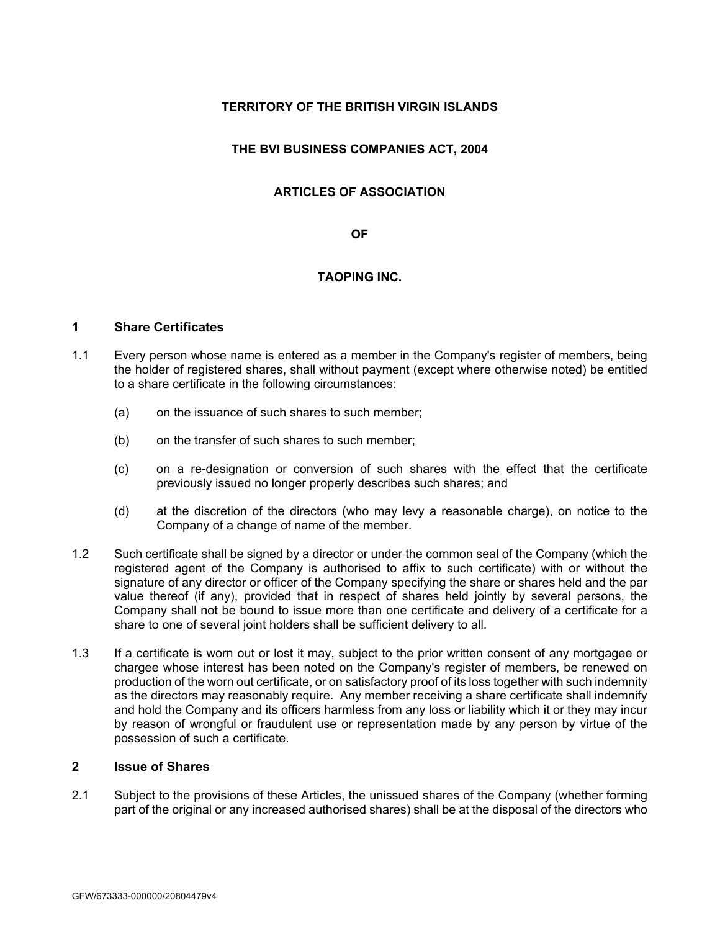# **TERRITORY OF THE BRITISH VIRGIN ISLANDS**

# **THE BVI BUSINESS COMPANIES ACT, 2004**

# **ARTICLES OF ASSOCIATION**

### **OF**

# **TAOPING INC.**

# **1 Share Certificates**

- 1.1 Every person whose name is entered as a member in the Company's register of members, being the holder of registered shares, shall without payment (except where otherwise noted) be entitled to a share certificate in the following circumstances:
	- (a) on the issuance of such shares to such member;
	- (b) on the transfer of such shares to such member;
	- (c) on a re-designation or conversion of such shares with the effect that the certificate previously issued no longer properly describes such shares; and
	- (d) at the discretion of the directors (who may levy a reasonable charge), on notice to the Company of a change of name of the member.
- 1.2 Such certificate shall be signed by a director or under the common seal of the Company (which the registered agent of the Company is authorised to affix to such certificate) with or without the signature of any director or officer of the Company specifying the share or shares held and the par value thereof (if any), provided that in respect of shares held jointly by several persons, the Company shall not be bound to issue more than one certificate and delivery of a certificate for a share to one of several joint holders shall be sufficient delivery to all.
- 1.3 If a certificate is worn out or lost it may, subject to the prior written consent of any mortgagee or chargee whose interest has been noted on the Company's register of members, be renewed on production of the worn out certificate, or on satisfactory proof of its loss together with such indemnity as the directors may reasonably require. Any member receiving a share certificate shall indemnify and hold the Company and its officers harmless from any loss or liability which it or they may incur by reason of wrongful or fraudulent use or representation made by any person by virtue of the possession of such a certificate.

# **2 Issue of Shares**

2.1 Subject to the provisions of these Articles, the unissued shares of the Company (whether forming part of the original or any increased authorised shares) shall be at the disposal of the directors who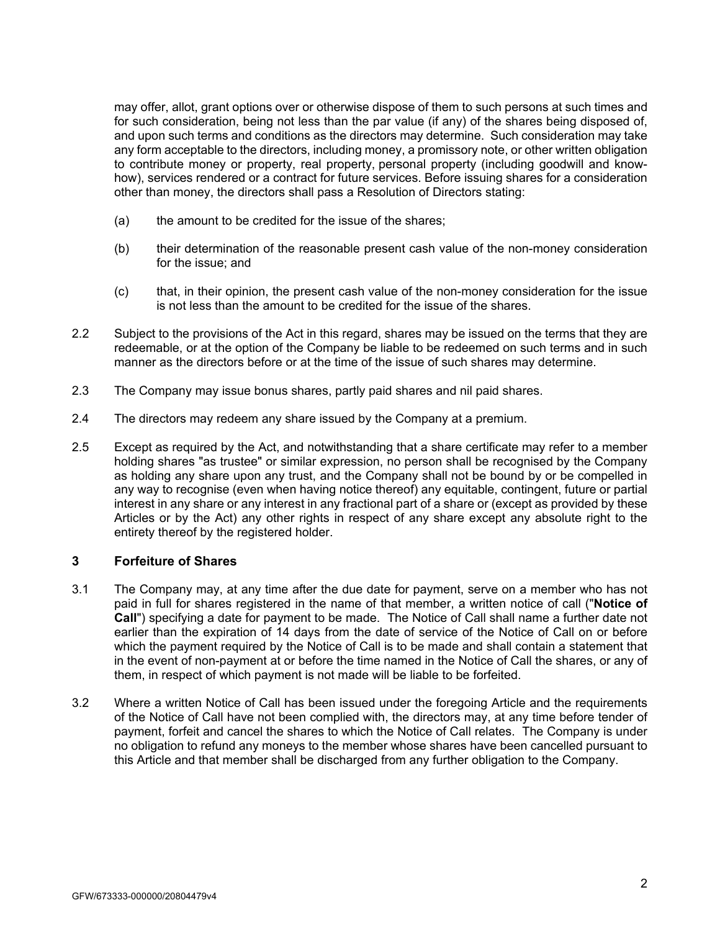may offer, allot, grant options over or otherwise dispose of them to such persons at such times and for such consideration, being not less than the par value (if any) of the shares being disposed of, and upon such terms and conditions as the directors may determine. Such consideration may take any form acceptable to the directors, including money, a promissory note, or other written obligation to contribute money or property, real property, personal property (including goodwill and knowhow), services rendered or a contract for future services. Before issuing shares for a consideration other than money, the directors shall pass a Resolution of Directors stating:

- (a) the amount to be credited for the issue of the shares;
- (b) their determination of the reasonable present cash value of the non-money consideration for the issue; and
- (c) that, in their opinion, the present cash value of the non-money consideration for the issue is not less than the amount to be credited for the issue of the shares.
- 2.2 Subject to the provisions of the Act in this regard, shares may be issued on the terms that they are redeemable, or at the option of the Company be liable to be redeemed on such terms and in such manner as the directors before or at the time of the issue of such shares may determine.
- 2.3 The Company may issue bonus shares, partly paid shares and nil paid shares.
- 2.4 The directors may redeem any share issued by the Company at a premium.
- 2.5 Except as required by the Act, and notwithstanding that a share certificate may refer to a member holding shares "as trustee" or similar expression, no person shall be recognised by the Company as holding any share upon any trust, and the Company shall not be bound by or be compelled in any way to recognise (even when having notice thereof) any equitable, contingent, future or partial interest in any share or any interest in any fractional part of a share or (except as provided by these Articles or by the Act) any other rights in respect of any share except any absolute right to the entirety thereof by the registered holder.

# **3 Forfeiture of Shares**

- 3.1 The Company may, at any time after the due date for payment, serve on a member who has not paid in full for shares registered in the name of that member, a written notice of call ("**Notice of Call**") specifying a date for payment to be made. The Notice of Call shall name a further date not earlier than the expiration of 14 days from the date of service of the Notice of Call on or before which the payment required by the Notice of Call is to be made and shall contain a statement that in the event of non-payment at or before the time named in the Notice of Call the shares, or any of them, in respect of which payment is not made will be liable to be forfeited.
- 3.2 Where a written Notice of Call has been issued under the foregoing Article and the requirements of the Notice of Call have not been complied with, the directors may, at any time before tender of payment, forfeit and cancel the shares to which the Notice of Call relates. The Company is under no obligation to refund any moneys to the member whose shares have been cancelled pursuant to this Article and that member shall be discharged from any further obligation to the Company.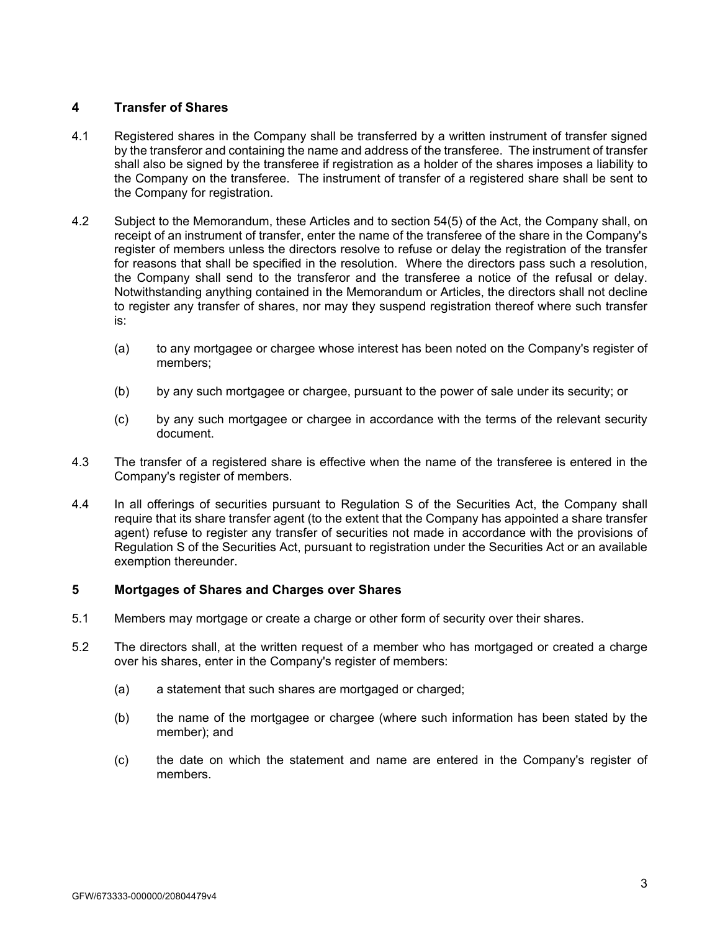# **4 Transfer of Shares**

- 4.1 Registered shares in the Company shall be transferred by a written instrument of transfer signed by the transferor and containing the name and address of the transferee. The instrument of transfer shall also be signed by the transferee if registration as a holder of the shares imposes a liability to the Company on the transferee. The instrument of transfer of a registered share shall be sent to the Company for registration.
- 4.2 Subject to the Memorandum, these Articles and to section 54(5) of the Act, the Company shall, on receipt of an instrument of transfer, enter the name of the transferee of the share in the Company's register of members unless the directors resolve to refuse or delay the registration of the transfer for reasons that shall be specified in the resolution. Where the directors pass such a resolution, the Company shall send to the transferor and the transferee a notice of the refusal or delay. Notwithstanding anything contained in the Memorandum or Articles, the directors shall not decline to register any transfer of shares, nor may they suspend registration thereof where such transfer is:
	- (a) to any mortgagee or chargee whose interest has been noted on the Company's register of members;
	- (b) by any such mortgagee or chargee, pursuant to the power of sale under its security; or
	- (c) by any such mortgagee or chargee in accordance with the terms of the relevant security document.
- 4.3 The transfer of a registered share is effective when the name of the transferee is entered in the Company's register of members.
- 4.4 In all offerings of securities pursuant to Regulation S of the Securities Act, the Company shall require that its share transfer agent (to the extent that the Company has appointed a share transfer agent) refuse to register any transfer of securities not made in accordance with the provisions of Regulation S of the Securities Act, pursuant to registration under the Securities Act or an available exemption thereunder.

# **5 Mortgages of Shares and Charges over Shares**

- 5.1 Members may mortgage or create a charge or other form of security over their shares.
- 5.2 The directors shall, at the written request of a member who has mortgaged or created a charge over his shares, enter in the Company's register of members:
	- (a) a statement that such shares are mortgaged or charged;
	- (b) the name of the mortgagee or chargee (where such information has been stated by the member); and
	- (c) the date on which the statement and name are entered in the Company's register of members.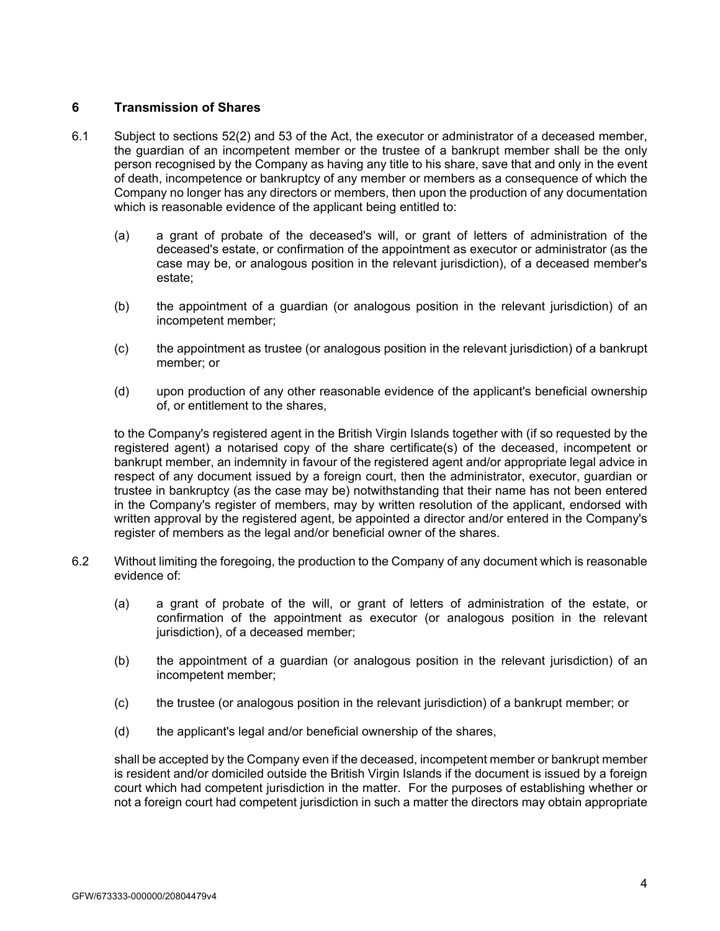# **6 Transmission of Shares**

- 6.1 Subject to sections 52(2) and 53 of the Act, the executor or administrator of a deceased member, the guardian of an incompetent member or the trustee of a bankrupt member shall be the only person recognised by the Company as having any title to his share, save that and only in the event of death, incompetence or bankruptcy of any member or members as a consequence of which the Company no longer has any directors or members, then upon the production of any documentation which is reasonable evidence of the applicant being entitled to:
	- (a) a grant of probate of the deceased's will, or grant of letters of administration of the deceased's estate, or confirmation of the appointment as executor or administrator (as the case may be, or analogous position in the relevant jurisdiction), of a deceased member's estate;
	- (b) the appointment of a guardian (or analogous position in the relevant jurisdiction) of an incompetent member;
	- (c) the appointment as trustee (or analogous position in the relevant jurisdiction) of a bankrupt member; or
	- (d) upon production of any other reasonable evidence of the applicant's beneficial ownership of, or entitlement to the shares,

 to the Company's registered agent in the British Virgin Islands together with (if so requested by the registered agent) a notarised copy of the share certificate(s) of the deceased, incompetent or bankrupt member, an indemnity in favour of the registered agent and/or appropriate legal advice in respect of any document issued by a foreign court, then the administrator, executor, guardian or trustee in bankruptcy (as the case may be) notwithstanding that their name has not been entered in the Company's register of members, may by written resolution of the applicant, endorsed with written approval by the registered agent, be appointed a director and/or entered in the Company's register of members as the legal and/or beneficial owner of the shares.

- 6.2 Without limiting the foregoing, the production to the Company of any document which is reasonable evidence of:
	- (a) a grant of probate of the will, or grant of letters of administration of the estate, or confirmation of the appointment as executor (or analogous position in the relevant jurisdiction), of a deceased member;
	- (b) the appointment of a guardian (or analogous position in the relevant jurisdiction) of an incompetent member;
	- (c) the trustee (or analogous position in the relevant jurisdiction) of a bankrupt member; or
	- (d) the applicant's legal and/or beneficial ownership of the shares,

shall be accepted by the Company even if the deceased, incompetent member or bankrupt member is resident and/or domiciled outside the British Virgin Islands if the document is issued by a foreign court which had competent jurisdiction in the matter. For the purposes of establishing whether or not a foreign court had competent jurisdiction in such a matter the directors may obtain appropriate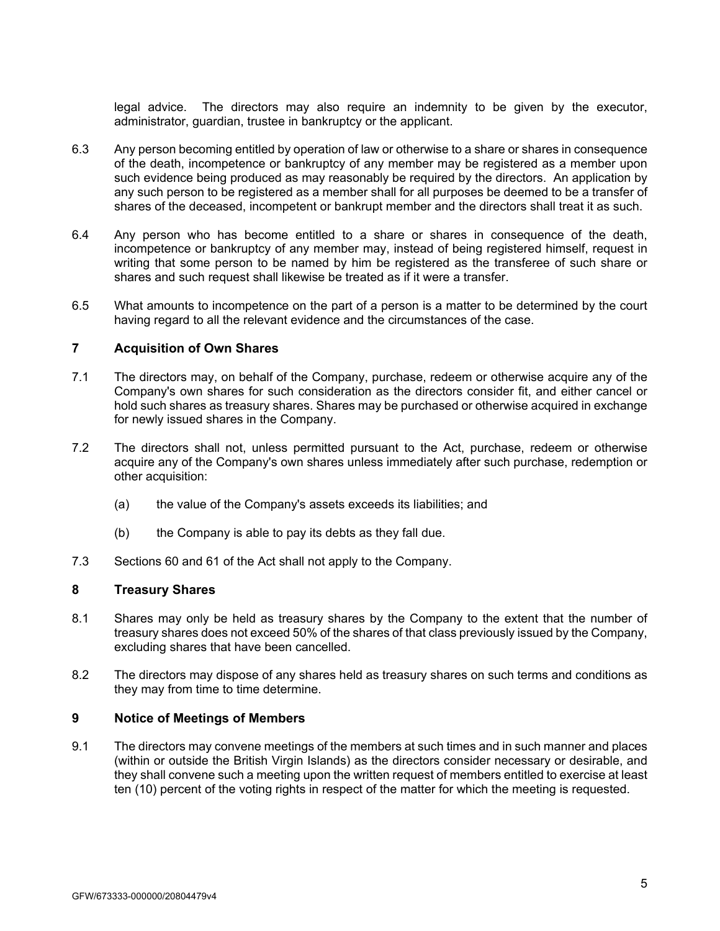legal advice. The directors may also require an indemnity to be given by the executor, administrator, guardian, trustee in bankruptcy or the applicant.

- 6.3 Any person becoming entitled by operation of law or otherwise to a share or shares in consequence of the death, incompetence or bankruptcy of any member may be registered as a member upon such evidence being produced as may reasonably be required by the directors. An application by any such person to be registered as a member shall for all purposes be deemed to be a transfer of shares of the deceased, incompetent or bankrupt member and the directors shall treat it as such.
- 6.4 Any person who has become entitled to a share or shares in consequence of the death, incompetence or bankruptcy of any member may, instead of being registered himself, request in writing that some person to be named by him be registered as the transferee of such share or shares and such request shall likewise be treated as if it were a transfer.
- 6.5 What amounts to incompetence on the part of a person is a matter to be determined by the court having regard to all the relevant evidence and the circumstances of the case.

### **7 Acquisition of Own Shares**

- 7.1 The directors may, on behalf of the Company, purchase, redeem or otherwise acquire any of the Company's own shares for such consideration as the directors consider fit, and either cancel or hold such shares as treasury shares. Shares may be purchased or otherwise acquired in exchange for newly issued shares in the Company.
- 7.2 The directors shall not, unless permitted pursuant to the Act, purchase, redeem or otherwise acquire any of the Company's own shares unless immediately after such purchase, redemption or other acquisition:
	- (a) the value of the Company's assets exceeds its liabilities; and
	- (b) the Company is able to pay its debts as they fall due.
- 7.3 Sections 60 and 61 of the Act shall not apply to the Company.

# **8 Treasury Shares**

- 8.1 Shares may only be held as treasury shares by the Company to the extent that the number of treasury shares does not exceed 50% of the shares of that class previously issued by the Company, excluding shares that have been cancelled.
- 8.2 The directors may dispose of any shares held as treasury shares on such terms and conditions as they may from time to time determine.

# **9 Notice of Meetings of Members**

9.1 The directors may convene meetings of the members at such times and in such manner and places (within or outside the British Virgin Islands) as the directors consider necessary or desirable, and they shall convene such a meeting upon the written request of members entitled to exercise at least ten (10) percent of the voting rights in respect of the matter for which the meeting is requested.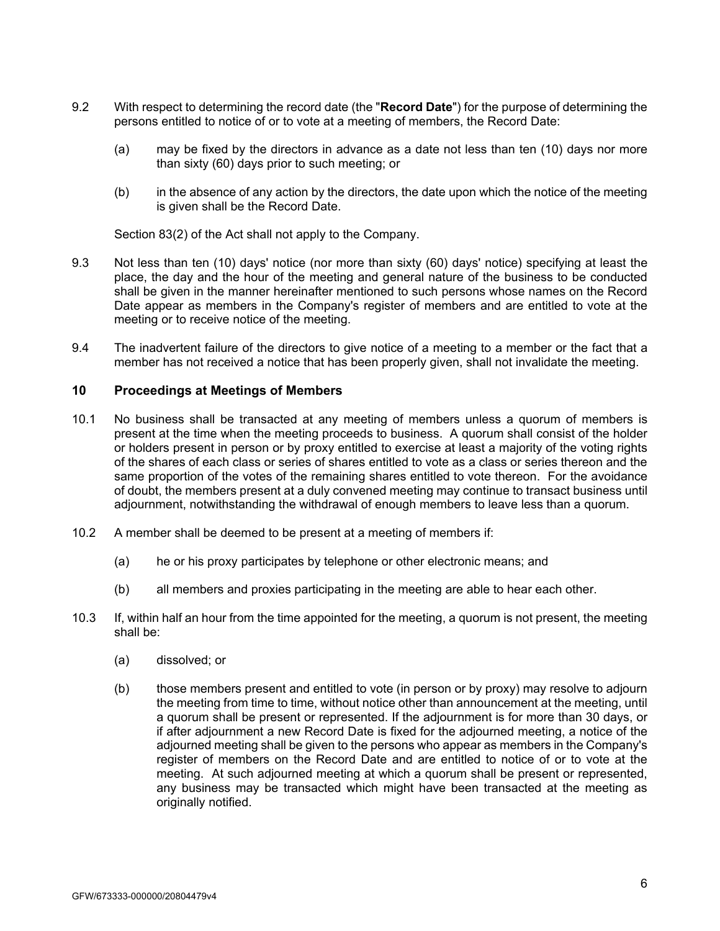- 9.2 With respect to determining the record date (the "**Record Date**") for the purpose of determining the persons entitled to notice of or to vote at a meeting of members, the Record Date:
	- (a) may be fixed by the directors in advance as a date not less than ten (10) days nor more than sixty (60) days prior to such meeting; or
	- (b) in the absence of any action by the directors, the date upon which the notice of the meeting is given shall be the Record Date.

Section 83(2) of the Act shall not apply to the Company.

- 9.3 Not less than ten (10) days' notice (nor more than sixty (60) days' notice) specifying at least the place, the day and the hour of the meeting and general nature of the business to be conducted shall be given in the manner hereinafter mentioned to such persons whose names on the Record Date appear as members in the Company's register of members and are entitled to vote at the meeting or to receive notice of the meeting.
- 9.4 The inadvertent failure of the directors to give notice of a meeting to a member or the fact that a member has not received a notice that has been properly given, shall not invalidate the meeting.

### **10 Proceedings at Meetings of Members**

- 10.1 No business shall be transacted at any meeting of members unless a quorum of members is present at the time when the meeting proceeds to business. A quorum shall consist of the holder or holders present in person or by proxy entitled to exercise at least a majority of the voting rights of the shares of each class or series of shares entitled to vote as a class or series thereon and the same proportion of the votes of the remaining shares entitled to vote thereon. For the avoidance of doubt, the members present at a duly convened meeting may continue to transact business until adjournment, notwithstanding the withdrawal of enough members to leave less than a quorum.
- 10.2 A member shall be deemed to be present at a meeting of members if:
	- (a) he or his proxy participates by telephone or other electronic means; and
	- (b) all members and proxies participating in the meeting are able to hear each other.
- 10.3 If, within half an hour from the time appointed for the meeting, a quorum is not present, the meeting shall be:
	- (a) dissolved; or
	- (b) those members present and entitled to vote (in person or by proxy) may resolve to adjourn the meeting from time to time, without notice other than announcement at the meeting, until a quorum shall be present or represented. If the adjournment is for more than 30 days, or if after adjournment a new Record Date is fixed for the adjourned meeting, a notice of the adjourned meeting shall be given to the persons who appear as members in the Company's register of members on the Record Date and are entitled to notice of or to vote at the meeting. At such adjourned meeting at which a quorum shall be present or represented, any business may be transacted which might have been transacted at the meeting as originally notified.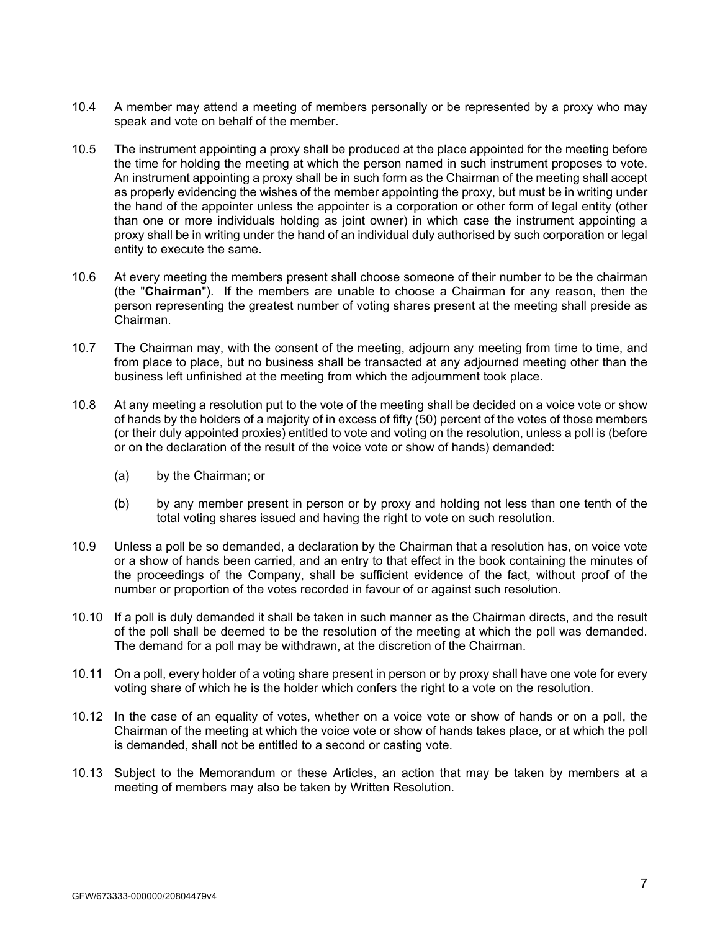- 10.4 A member may attend a meeting of members personally or be represented by a proxy who may speak and vote on behalf of the member.
- 10.5 The instrument appointing a proxy shall be produced at the place appointed for the meeting before the time for holding the meeting at which the person named in such instrument proposes to vote. An instrument appointing a proxy shall be in such form as the Chairman of the meeting shall accept as properly evidencing the wishes of the member appointing the proxy, but must be in writing under the hand of the appointer unless the appointer is a corporation or other form of legal entity (other than one or more individuals holding as joint owner) in which case the instrument appointing a proxy shall be in writing under the hand of an individual duly authorised by such corporation or legal entity to execute the same.
- 10.6 At every meeting the members present shall choose someone of their number to be the chairman (the "**Chairman**"). If the members are unable to choose a Chairman for any reason, then the person representing the greatest number of voting shares present at the meeting shall preside as Chairman.
- 10.7 The Chairman may, with the consent of the meeting, adjourn any meeting from time to time, and from place to place, but no business shall be transacted at any adjourned meeting other than the business left unfinished at the meeting from which the adjournment took place.
- 10.8 At any meeting a resolution put to the vote of the meeting shall be decided on a voice vote or show of hands by the holders of a majority of in excess of fifty (50) percent of the votes of those members (or their duly appointed proxies) entitled to vote and voting on the resolution, unless a poll is (before or on the declaration of the result of the voice vote or show of hands) demanded:
	- (a) by the Chairman; or
	- (b) by any member present in person or by proxy and holding not less than one tenth of the total voting shares issued and having the right to vote on such resolution.
- 10.9 Unless a poll be so demanded, a declaration by the Chairman that a resolution has, on voice vote or a show of hands been carried, and an entry to that effect in the book containing the minutes of the proceedings of the Company, shall be sufficient evidence of the fact, without proof of the number or proportion of the votes recorded in favour of or against such resolution.
- 10.10 If a poll is duly demanded it shall be taken in such manner as the Chairman directs, and the result of the poll shall be deemed to be the resolution of the meeting at which the poll was demanded. The demand for a poll may be withdrawn, at the discretion of the Chairman.
- 10.11 On a poll, every holder of a voting share present in person or by proxy shall have one vote for every voting share of which he is the holder which confers the right to a vote on the resolution.
- 10.12 In the case of an equality of votes, whether on a voice vote or show of hands or on a poll, the Chairman of the meeting at which the voice vote or show of hands takes place, or at which the poll is demanded, shall not be entitled to a second or casting vote.
- 10.13 Subject to the Memorandum or these Articles, an action that may be taken by members at a meeting of members may also be taken by Written Resolution.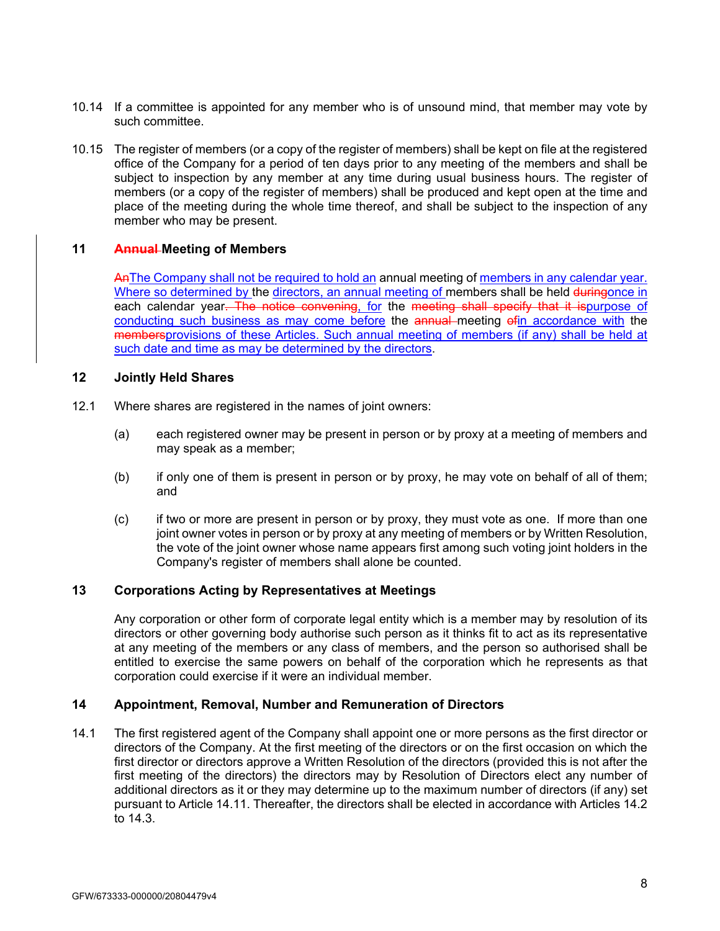- 10.14 If a committee is appointed for any member who is of unsound mind, that member may vote by such committee.
- 10.15 The register of members (or a copy of the register of members) shall be kept on file at the registered office of the Company for a period of ten days prior to any meeting of the members and shall be subject to inspection by any member at any time during usual business hours. The register of members (or a copy of the register of members) shall be produced and kept open at the time and place of the meeting during the whole time thereof, and shall be subject to the inspection of any member who may be present.

# **11 Annual Meeting of Members**

AnThe Company shall not be required to hold an annual meeting of members in any calendar year. Where so determined by the directors, an annual meeting of members shall be held duringonce in each calendar year. The notice convening, for the meeting shall specify that it ispurpose of conducting such business as may come before the annual meeting of in accordance with the membersprovisions of these Articles. Such annual meeting of members (if any) shall be held at such date and time as may be determined by the directors.

# **12 Jointly Held Shares**

- 12.1 Where shares are registered in the names of joint owners:
	- (a) each registered owner may be present in person or by proxy at a meeting of members and may speak as a member;
	- (b) if only one of them is present in person or by proxy, he may vote on behalf of all of them; and
	- (c) if two or more are present in person or by proxy, they must vote as one. If more than one joint owner votes in person or by proxy at any meeting of members or by Written Resolution, the vote of the joint owner whose name appears first among such voting joint holders in the Company's register of members shall alone be counted.

# **13 Corporations Acting by Representatives at Meetings**

Any corporation or other form of corporate legal entity which is a member may by resolution of its directors or other governing body authorise such person as it thinks fit to act as its representative at any meeting of the members or any class of members, and the person so authorised shall be entitled to exercise the same powers on behalf of the corporation which he represents as that corporation could exercise if it were an individual member.

# **14 Appointment, Removal, Number and Remuneration of Directors**

14.1 The first registered agent of the Company shall appoint one or more persons as the first director or directors of the Company. At the first meeting of the directors or on the first occasion on which the first director or directors approve a Written Resolution of the directors (provided this is not after the first meeting of the directors) the directors may by Resolution of Directors elect any number of additional directors as it or they may determine up to the maximum number of directors (if any) set pursuant to Article 14.11. Thereafter, the directors shall be elected in accordance with Articles 14.2 to 14.3.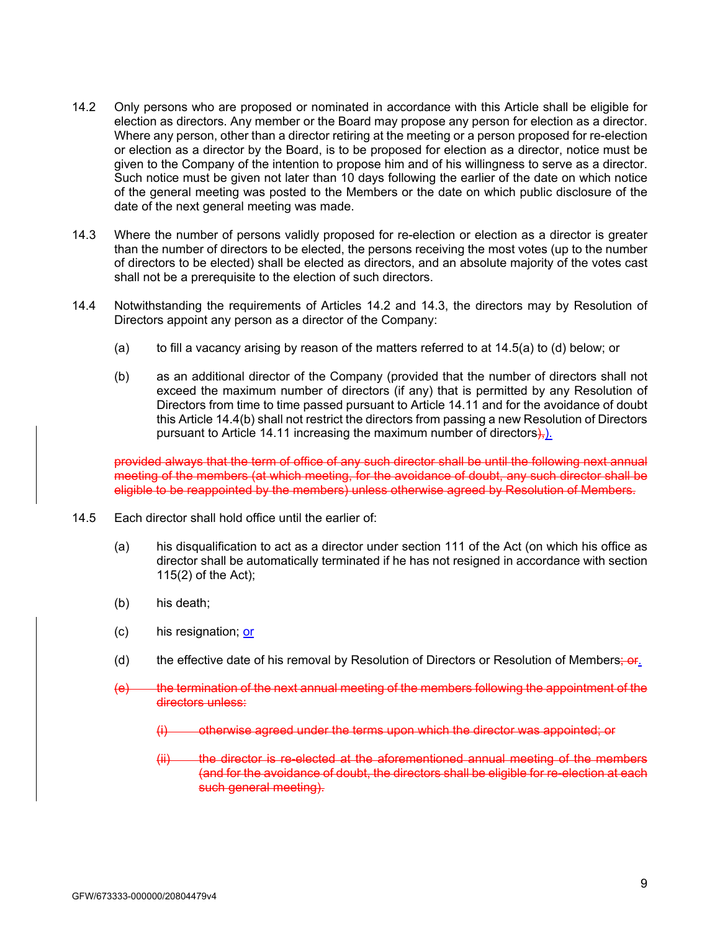- 14.2 Only persons who are proposed or nominated in accordance with this Article shall be eligible for election as directors. Any member or the Board may propose any person for election as a director. Where any person, other than a director retiring at the meeting or a person proposed for re-election or election as a director by the Board, is to be proposed for election as a director, notice must be given to the Company of the intention to propose him and of his willingness to serve as a director. Such notice must be given not later than 10 days following the earlier of the date on which notice of the general meeting was posted to the Members or the date on which public disclosure of the date of the next general meeting was made.
- 14.3 Where the number of persons validly proposed for re-election or election as a director is greater than the number of directors to be elected, the persons receiving the most votes (up to the number of directors to be elected) shall be elected as directors, and an absolute majority of the votes cast shall not be a prerequisite to the election of such directors.
- 14.4 Notwithstanding the requirements of Articles 14.2 and 14.3, the directors may by Resolution of Directors appoint any person as a director of the Company:
	- (a) to fill a vacancy arising by reason of the matters referred to at 14.5(a) to (d) below; or
	- (b) as an additional director of the Company (provided that the number of directors shall not exceed the maximum number of directors (if any) that is permitted by any Resolution of Directors from time to time passed pursuant to Article 14.11 and for the avoidance of doubt this Article 14.4(b) shall not restrict the directors from passing a new Resolution of Directors pursuant to Article 14.11 increasing the maximum number of directors $\frac{1}{2}$ .

provided always that the term of office of any such director shall be until the following next annual meeting of the members (at which meeting, for the avoidance of doubt, any such director shall be eligible to be reappointed by the members) unless otherwise agreed by Resolution of Members.

- 14.5 Each director shall hold office until the earlier of:
	- (a) his disqualification to act as a director under section 111 of the Act (on which his office as director shall be automatically terminated if he has not resigned in accordance with section 115(2) of the Act);
	- (b) his death;
	- (c) his resignation; or
	- (d) the effective date of his removal by Resolution of Directors or Resolution of Members;  $or.$
	- (e) the termination of the next annual meeting of the members following the appointment of the directors unless:
		- (i) otherwise agreed under the terms upon which the director was appointed; or
		- (ii) the director is re-elected at the aforementioned annual meeting of the members (and for the avoidance of doubt, the directors shall be eligible for re-election at each such general meeting).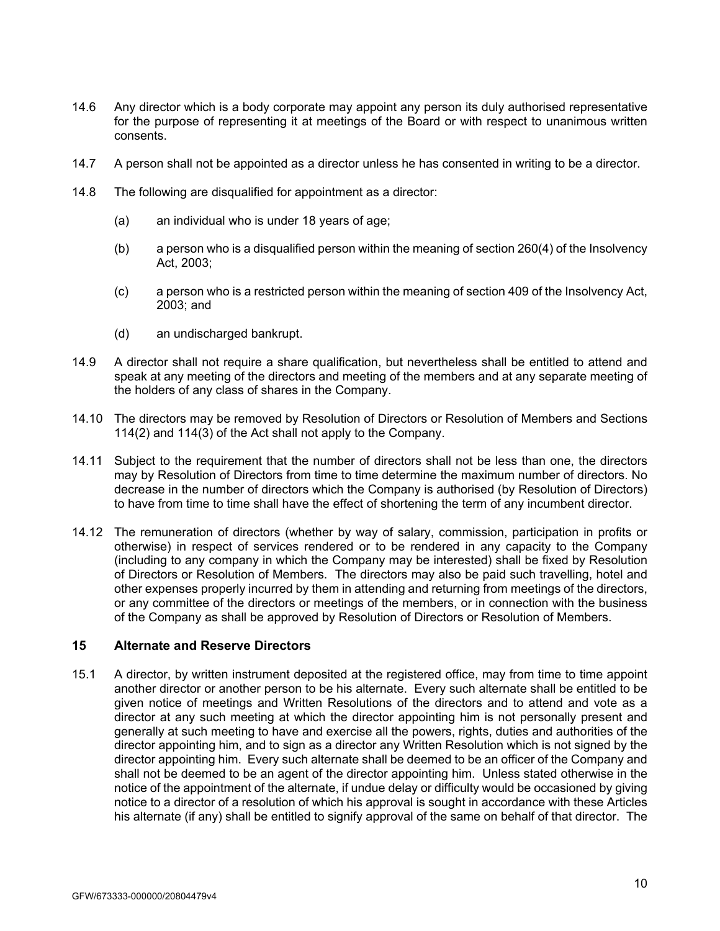- 14.6 Any director which is a body corporate may appoint any person its duly authorised representative for the purpose of representing it at meetings of the Board or with respect to unanimous written consents.
- 14.7 A person shall not be appointed as a director unless he has consented in writing to be a director.
- 14.8 The following are disqualified for appointment as a director:
	- (a) an individual who is under 18 years of age;
	- (b) a person who is a disqualified person within the meaning of section 260(4) of the Insolvency Act, 2003;
	- (c) a person who is a restricted person within the meaning of section 409 of the Insolvency Act, 2003; and
	- (d) an undischarged bankrupt.
- 14.9 A director shall not require a share qualification, but nevertheless shall be entitled to attend and speak at any meeting of the directors and meeting of the members and at any separate meeting of the holders of any class of shares in the Company.
- 14.10 The directors may be removed by Resolution of Directors or Resolution of Members and Sections 114(2) and 114(3) of the Act shall not apply to the Company.
- 14.11 Subject to the requirement that the number of directors shall not be less than one, the directors may by Resolution of Directors from time to time determine the maximum number of directors. No decrease in the number of directors which the Company is authorised (by Resolution of Directors) to have from time to time shall have the effect of shortening the term of any incumbent director.
- 14.12 The remuneration of directors (whether by way of salary, commission, participation in profits or otherwise) in respect of services rendered or to be rendered in any capacity to the Company (including to any company in which the Company may be interested) shall be fixed by Resolution of Directors or Resolution of Members. The directors may also be paid such travelling, hotel and other expenses properly incurred by them in attending and returning from meetings of the directors, or any committee of the directors or meetings of the members, or in connection with the business of the Company as shall be approved by Resolution of Directors or Resolution of Members.

# **15 Alternate and Reserve Directors**

15.1 A director, by written instrument deposited at the registered office, may from time to time appoint another director or another person to be his alternate. Every such alternate shall be entitled to be given notice of meetings and Written Resolutions of the directors and to attend and vote as a director at any such meeting at which the director appointing him is not personally present and generally at such meeting to have and exercise all the powers, rights, duties and authorities of the director appointing him, and to sign as a director any Written Resolution which is not signed by the director appointing him. Every such alternate shall be deemed to be an officer of the Company and shall not be deemed to be an agent of the director appointing him. Unless stated otherwise in the notice of the appointment of the alternate, if undue delay or difficulty would be occasioned by giving notice to a director of a resolution of which his approval is sought in accordance with these Articles his alternate (if any) shall be entitled to signify approval of the same on behalf of that director. The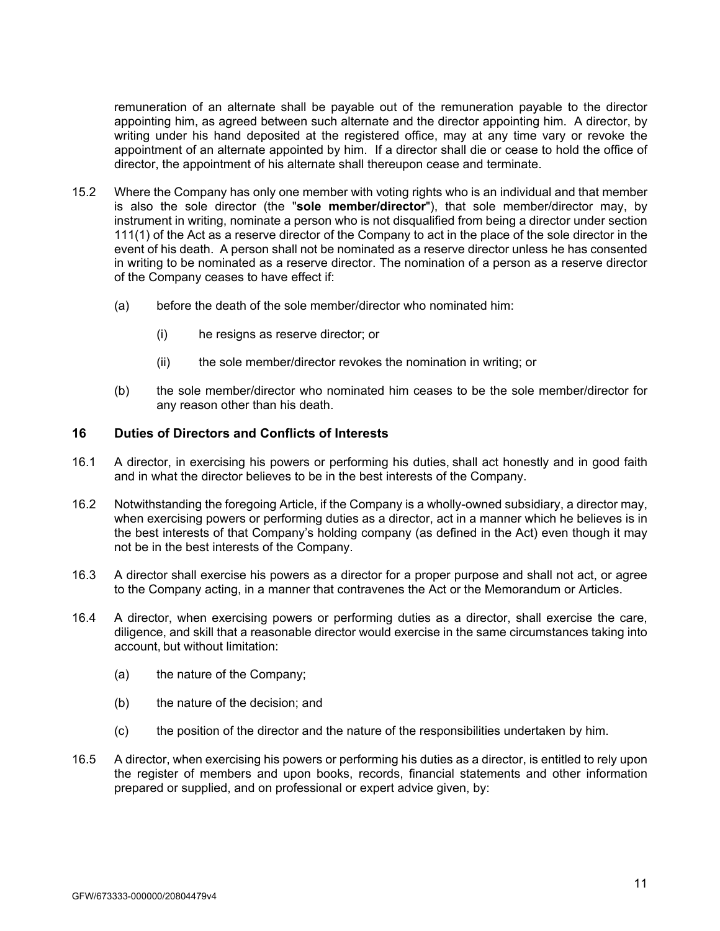remuneration of an alternate shall be payable out of the remuneration payable to the director appointing him, as agreed between such alternate and the director appointing him. A director, by writing under his hand deposited at the registered office, may at any time vary or revoke the appointment of an alternate appointed by him. If a director shall die or cease to hold the office of director, the appointment of his alternate shall thereupon cease and terminate.

- 15.2 Where the Company has only one member with voting rights who is an individual and that member is also the sole director (the "**sole member/director**"), that sole member/director may, by instrument in writing, nominate a person who is not disqualified from being a director under section 111(1) of the Act as a reserve director of the Company to act in the place of the sole director in the event of his death. A person shall not be nominated as a reserve director unless he has consented in writing to be nominated as a reserve director. The nomination of a person as a reserve director of the Company ceases to have effect if:
	- (a) before the death of the sole member/director who nominated him:
		- (i) he resigns as reserve director; or
		- (ii) the sole member/director revokes the nomination in writing; or
	- (b) the sole member/director who nominated him ceases to be the sole member/director for any reason other than his death.

# **16 Duties of Directors and Conflicts of Interests**

- 16.1 A director, in exercising his powers or performing his duties, shall act honestly and in good faith and in what the director believes to be in the best interests of the Company.
- 16.2 Notwithstanding the foregoing Article, if the Company is a wholly-owned subsidiary, a director may, when exercising powers or performing duties as a director, act in a manner which he believes is in the best interests of that Company's holding company (as defined in the Act) even though it may not be in the best interests of the Company.
- 16.3 A director shall exercise his powers as a director for a proper purpose and shall not act, or agree to the Company acting, in a manner that contravenes the Act or the Memorandum or Articles.
- 16.4 A director, when exercising powers or performing duties as a director, shall exercise the care, diligence, and skill that a reasonable director would exercise in the same circumstances taking into account, but without limitation:
	- (a) the nature of the Company;
	- (b) the nature of the decision; and
	- (c) the position of the director and the nature of the responsibilities undertaken by him.
- 16.5 A director, when exercising his powers or performing his duties as a director, is entitled to rely upon the register of members and upon books, records, financial statements and other information prepared or supplied, and on professional or expert advice given, by: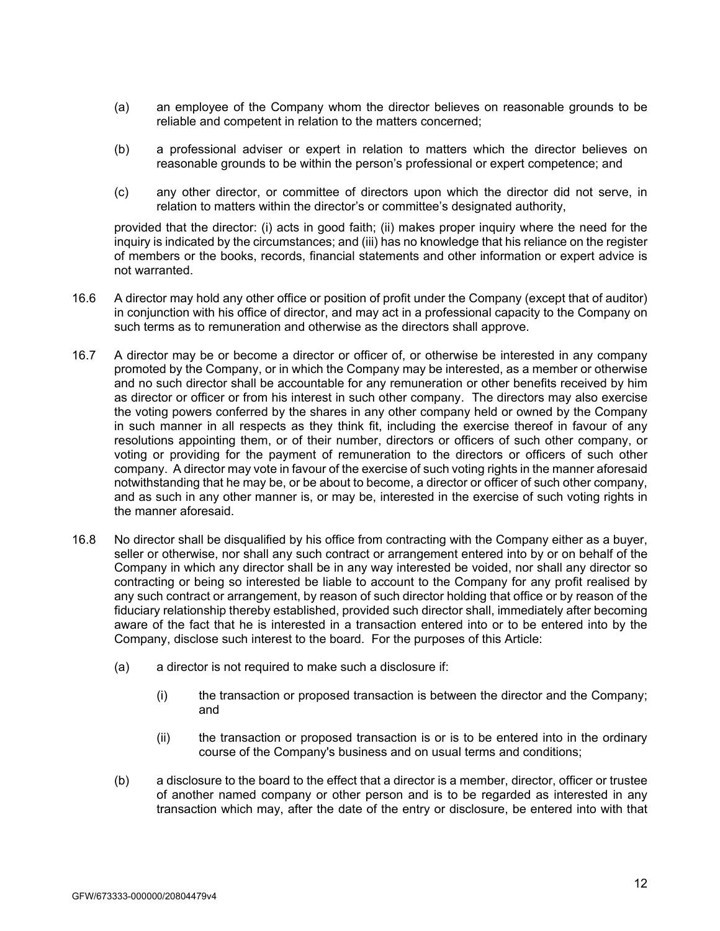- (a) an employee of the Company whom the director believes on reasonable grounds to be reliable and competent in relation to the matters concerned;
- (b) a professional adviser or expert in relation to matters which the director believes on reasonable grounds to be within the person's professional or expert competence; and
- (c) any other director, or committee of directors upon which the director did not serve, in relation to matters within the director's or committee's designated authority,

provided that the director: (i) acts in good faith; (ii) makes proper inquiry where the need for the inquiry is indicated by the circumstances; and (iii) has no knowledge that his reliance on the register of members or the books, records, financial statements and other information or expert advice is not warranted.

- 16.6 A director may hold any other office or position of profit under the Company (except that of auditor) in conjunction with his office of director, and may act in a professional capacity to the Company on such terms as to remuneration and otherwise as the directors shall approve.
- 16.7 A director may be or become a director or officer of, or otherwise be interested in any company promoted by the Company, or in which the Company may be interested, as a member or otherwise and no such director shall be accountable for any remuneration or other benefits received by him as director or officer or from his interest in such other company. The directors may also exercise the voting powers conferred by the shares in any other company held or owned by the Company in such manner in all respects as they think fit, including the exercise thereof in favour of any resolutions appointing them, or of their number, directors or officers of such other company, or voting or providing for the payment of remuneration to the directors or officers of such other company. A director may vote in favour of the exercise of such voting rights in the manner aforesaid notwithstanding that he may be, or be about to become, a director or officer of such other company, and as such in any other manner is, or may be, interested in the exercise of such voting rights in the manner aforesaid.
- 16.8 No director shall be disqualified by his office from contracting with the Company either as a buyer, seller or otherwise, nor shall any such contract or arrangement entered into by or on behalf of the Company in which any director shall be in any way interested be voided, nor shall any director so contracting or being so interested be liable to account to the Company for any profit realised by any such contract or arrangement, by reason of such director holding that office or by reason of the fiduciary relationship thereby established, provided such director shall, immediately after becoming aware of the fact that he is interested in a transaction entered into or to be entered into by the Company, disclose such interest to the board. For the purposes of this Article:
	- (a) a director is not required to make such a disclosure if:
		- (i) the transaction or proposed transaction is between the director and the Company; and
		- (ii) the transaction or proposed transaction is or is to be entered into in the ordinary course of the Company's business and on usual terms and conditions;
	- (b) a disclosure to the board to the effect that a director is a member, director, officer or trustee of another named company or other person and is to be regarded as interested in any transaction which may, after the date of the entry or disclosure, be entered into with that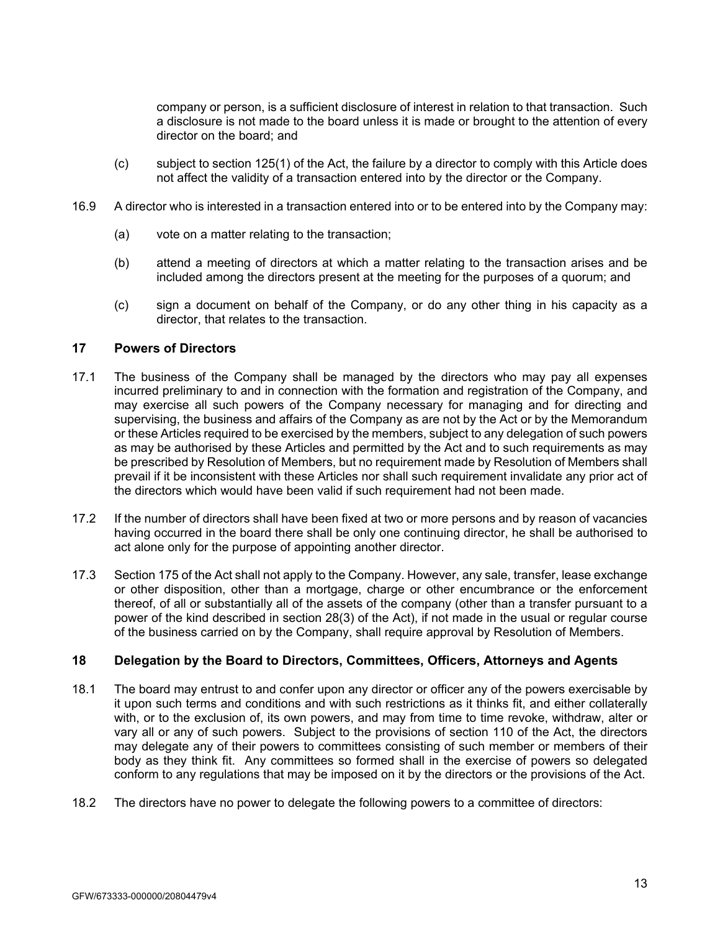company or person, is a sufficient disclosure of interest in relation to that transaction. Such a disclosure is not made to the board unless it is made or brought to the attention of every director on the board; and

- (c) subject to section 125(1) of the Act, the failure by a director to comply with this Article does not affect the validity of a transaction entered into by the director or the Company.
- 16.9 A director who is interested in a transaction entered into or to be entered into by the Company may:
	- (a) vote on a matter relating to the transaction;
	- (b) attend a meeting of directors at which a matter relating to the transaction arises and be included among the directors present at the meeting for the purposes of a quorum; and
	- (c) sign a document on behalf of the Company, or do any other thing in his capacity as a director, that relates to the transaction.

# **17 Powers of Directors**

- 17.1 The business of the Company shall be managed by the directors who may pay all expenses incurred preliminary to and in connection with the formation and registration of the Company, and may exercise all such powers of the Company necessary for managing and for directing and supervising, the business and affairs of the Company as are not by the Act or by the Memorandum or these Articles required to be exercised by the members, subject to any delegation of such powers as may be authorised by these Articles and permitted by the Act and to such requirements as may be prescribed by Resolution of Members, but no requirement made by Resolution of Members shall prevail if it be inconsistent with these Articles nor shall such requirement invalidate any prior act of the directors which would have been valid if such requirement had not been made.
- 17.2 If the number of directors shall have been fixed at two or more persons and by reason of vacancies having occurred in the board there shall be only one continuing director, he shall be authorised to act alone only for the purpose of appointing another director.
- 17.3 Section 175 of the Act shall not apply to the Company. However, any sale, transfer, lease exchange or other disposition, other than a mortgage, charge or other encumbrance or the enforcement thereof, of all or substantially all of the assets of the company (other than a transfer pursuant to a power of the kind described in section 28(3) of the Act), if not made in the usual or regular course of the business carried on by the Company, shall require approval by Resolution of Members.

# **18 Delegation by the Board to Directors, Committees, Officers, Attorneys and Agents**

- 18.1 The board may entrust to and confer upon any director or officer any of the powers exercisable by it upon such terms and conditions and with such restrictions as it thinks fit, and either collaterally with, or to the exclusion of, its own powers, and may from time to time revoke, withdraw, alter or vary all or any of such powers. Subject to the provisions of section 110 of the Act, the directors may delegate any of their powers to committees consisting of such member or members of their body as they think fit. Any committees so formed shall in the exercise of powers so delegated conform to any regulations that may be imposed on it by the directors or the provisions of the Act.
- 18.2 The directors have no power to delegate the following powers to a committee of directors: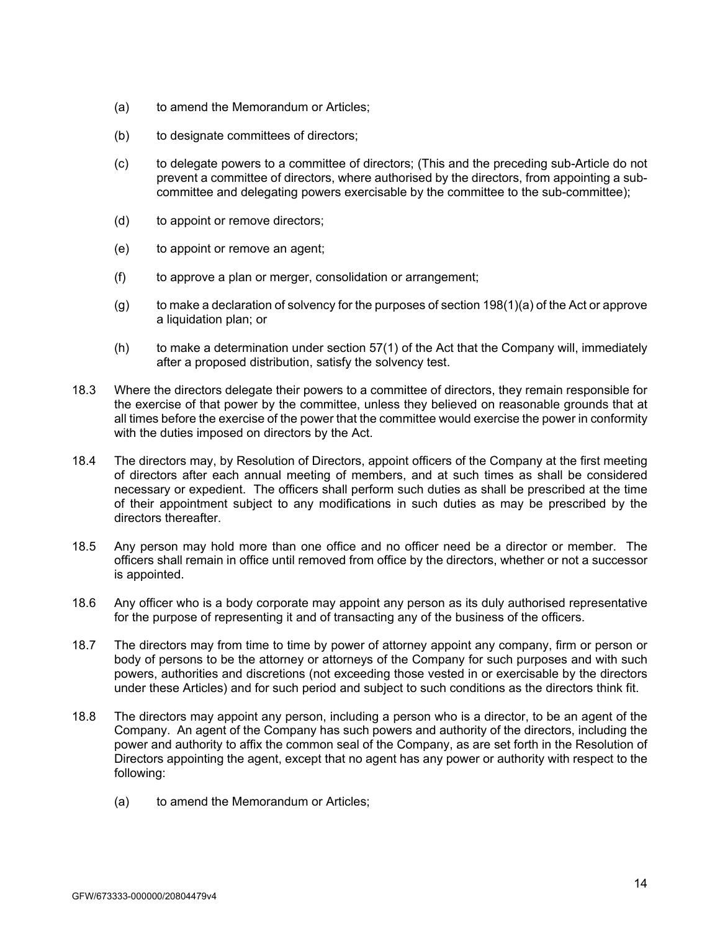- (a) to amend the Memorandum or Articles;
- (b) to designate committees of directors;
- (c) to delegate powers to a committee of directors; (This and the preceding sub-Article do not prevent a committee of directors, where authorised by the directors, from appointing a subcommittee and delegating powers exercisable by the committee to the sub-committee);
- (d) to appoint or remove directors;
- (e) to appoint or remove an agent;
- (f) to approve a plan or merger, consolidation or arrangement;
- $(q)$  to make a declaration of solvency for the purposes of section 198(1)(a) of the Act or approve a liquidation plan; or
- $(h)$  to make a determination under section  $57(1)$  of the Act that the Company will, immediately after a proposed distribution, satisfy the solvency test.
- 18.3 Where the directors delegate their powers to a committee of directors, they remain responsible for the exercise of that power by the committee, unless they believed on reasonable grounds that at all times before the exercise of the power that the committee would exercise the power in conformity with the duties imposed on directors by the Act.
- 18.4 The directors may, by Resolution of Directors, appoint officers of the Company at the first meeting of directors after each annual meeting of members, and at such times as shall be considered necessary or expedient. The officers shall perform such duties as shall be prescribed at the time of their appointment subject to any modifications in such duties as may be prescribed by the directors thereafter.
- 18.5 Any person may hold more than one office and no officer need be a director or member. The officers shall remain in office until removed from office by the directors, whether or not a successor is appointed.
- 18.6 Any officer who is a body corporate may appoint any person as its duly authorised representative for the purpose of representing it and of transacting any of the business of the officers.
- 18.7 The directors may from time to time by power of attorney appoint any company, firm or person or body of persons to be the attorney or attorneys of the Company for such purposes and with such powers, authorities and discretions (not exceeding those vested in or exercisable by the directors under these Articles) and for such period and subject to such conditions as the directors think fit.
- 18.8 The directors may appoint any person, including a person who is a director, to be an agent of the Company. An agent of the Company has such powers and authority of the directors, including the power and authority to affix the common seal of the Company, as are set forth in the Resolution of Directors appointing the agent, except that no agent has any power or authority with respect to the following:
	- (a) to amend the Memorandum or Articles;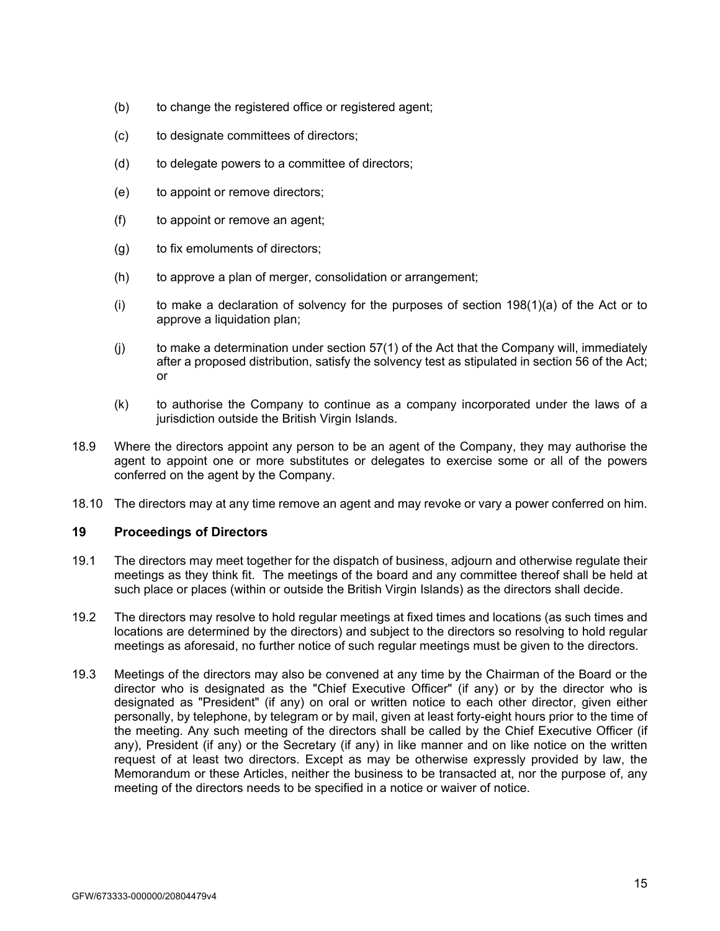- (b) to change the registered office or registered agent;
- (c) to designate committees of directors;
- (d) to delegate powers to a committee of directors;
- (e) to appoint or remove directors;
- (f) to appoint or remove an agent;
- (g) to fix emoluments of directors;
- (h) to approve a plan of merger, consolidation or arrangement;
- (i) to make a declaration of solvency for the purposes of section  $198(1)(a)$  of the Act or to approve a liquidation plan;
- $(i)$  to make a determination under section 57(1) of the Act that the Company will, immediately after a proposed distribution, satisfy the solvency test as stipulated in section 56 of the Act; or
- (k) to authorise the Company to continue as a company incorporated under the laws of a jurisdiction outside the British Virgin Islands.
- 18.9 Where the directors appoint any person to be an agent of the Company, they may authorise the agent to appoint one or more substitutes or delegates to exercise some or all of the powers conferred on the agent by the Company.
- 18.10 The directors may at any time remove an agent and may revoke or vary a power conferred on him.

# **19 Proceedings of Directors**

- 19.1 The directors may meet together for the dispatch of business, adjourn and otherwise regulate their meetings as they think fit. The meetings of the board and any committee thereof shall be held at such place or places (within or outside the British Virgin Islands) as the directors shall decide.
- 19.2 The directors may resolve to hold regular meetings at fixed times and locations (as such times and locations are determined by the directors) and subject to the directors so resolving to hold regular meetings as aforesaid, no further notice of such regular meetings must be given to the directors.
- 19.3 Meetings of the directors may also be convened at any time by the Chairman of the Board or the director who is designated as the "Chief Executive Officer" (if any) or by the director who is designated as "President" (if any) on oral or written notice to each other director, given either personally, by telephone, by telegram or by mail, given at least forty-eight hours prior to the time of the meeting. Any such meeting of the directors shall be called by the Chief Executive Officer (if any), President (if any) or the Secretary (if any) in like manner and on like notice on the written request of at least two directors. Except as may be otherwise expressly provided by law, the Memorandum or these Articles, neither the business to be transacted at, nor the purpose of, any meeting of the directors needs to be specified in a notice or waiver of notice.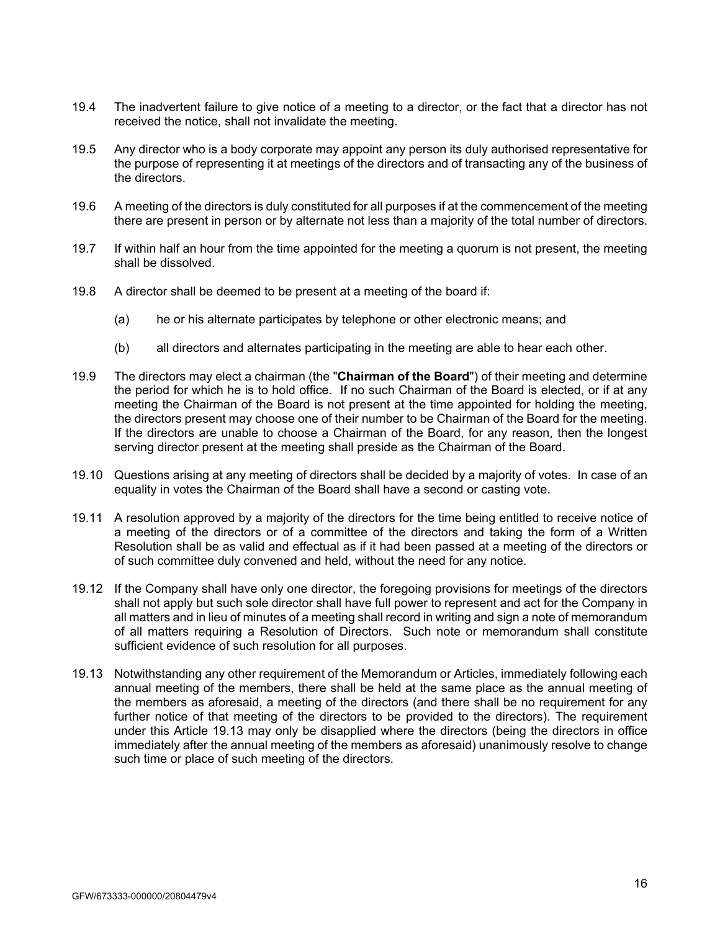- 19.4 The inadvertent failure to give notice of a meeting to a director, or the fact that a director has not received the notice, shall not invalidate the meeting.
- 19.5 Any director who is a body corporate may appoint any person its duly authorised representative for the purpose of representing it at meetings of the directors and of transacting any of the business of the directors.
- 19.6 A meeting of the directors is duly constituted for all purposes if at the commencement of the meeting there are present in person or by alternate not less than a majority of the total number of directors.
- 19.7 If within half an hour from the time appointed for the meeting a quorum is not present, the meeting shall be dissolved.
- 19.8 A director shall be deemed to be present at a meeting of the board if:
	- (a) he or his alternate participates by telephone or other electronic means; and
	- (b) all directors and alternates participating in the meeting are able to hear each other.
- 19.9 The directors may elect a chairman (the "**Chairman of the Board**") of their meeting and determine the period for which he is to hold office. If no such Chairman of the Board is elected, or if at any meeting the Chairman of the Board is not present at the time appointed for holding the meeting, the directors present may choose one of their number to be Chairman of the Board for the meeting. If the directors are unable to choose a Chairman of the Board, for any reason, then the longest serving director present at the meeting shall preside as the Chairman of the Board.
- 19.10 Questions arising at any meeting of directors shall be decided by a majority of votes. In case of an equality in votes the Chairman of the Board shall have a second or casting vote.
- 19.11 A resolution approved by a majority of the directors for the time being entitled to receive notice of a meeting of the directors or of a committee of the directors and taking the form of a Written Resolution shall be as valid and effectual as if it had been passed at a meeting of the directors or of such committee duly convened and held, without the need for any notice.
- 19.12 If the Company shall have only one director, the foregoing provisions for meetings of the directors shall not apply but such sole director shall have full power to represent and act for the Company in all matters and in lieu of minutes of a meeting shall record in writing and sign a note of memorandum of all matters requiring a Resolution of Directors. Such note or memorandum shall constitute sufficient evidence of such resolution for all purposes.
- 19.13 Notwithstanding any other requirement of the Memorandum or Articles, immediately following each annual meeting of the members, there shall be held at the same place as the annual meeting of the members as aforesaid, a meeting of the directors (and there shall be no requirement for any further notice of that meeting of the directors to be provided to the directors). The requirement under this Article 19.13 may only be disapplied where the directors (being the directors in office immediately after the annual meeting of the members as aforesaid) unanimously resolve to change such time or place of such meeting of the directors.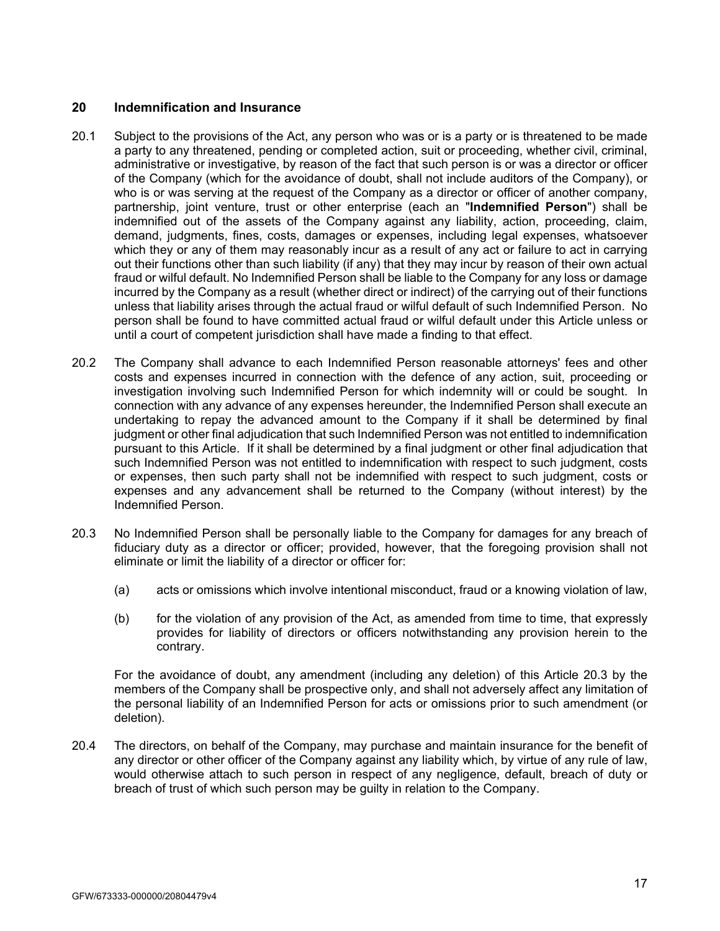# **20 Indemnification and Insurance**

- 20.1 Subject to the provisions of the Act, any person who was or is a party or is threatened to be made a party to any threatened, pending or completed action, suit or proceeding, whether civil, criminal, administrative or investigative, by reason of the fact that such person is or was a director or officer of the Company (which for the avoidance of doubt, shall not include auditors of the Company), or who is or was serving at the request of the Company as a director or officer of another company, partnership, joint venture, trust or other enterprise (each an "**Indemnified Person**") shall be indemnified out of the assets of the Company against any liability, action, proceeding, claim, demand, judgments, fines, costs, damages or expenses, including legal expenses, whatsoever which they or any of them may reasonably incur as a result of any act or failure to act in carrying out their functions other than such liability (if any) that they may incur by reason of their own actual fraud or wilful default. No Indemnified Person shall be liable to the Company for any loss or damage incurred by the Company as a result (whether direct or indirect) of the carrying out of their functions unless that liability arises through the actual fraud or wilful default of such Indemnified Person. No person shall be found to have committed actual fraud or wilful default under this Article unless or until a court of competent jurisdiction shall have made a finding to that effect.
- 20.2 The Company shall advance to each Indemnified Person reasonable attorneys' fees and other costs and expenses incurred in connection with the defence of any action, suit, proceeding or investigation involving such Indemnified Person for which indemnity will or could be sought. In connection with any advance of any expenses hereunder, the Indemnified Person shall execute an undertaking to repay the advanced amount to the Company if it shall be determined by final judgment or other final adjudication that such Indemnified Person was not entitled to indemnification pursuant to this Article. If it shall be determined by a final judgment or other final adjudication that such Indemnified Person was not entitled to indemnification with respect to such judgment, costs or expenses, then such party shall not be indemnified with respect to such judgment, costs or expenses and any advancement shall be returned to the Company (without interest) by the Indemnified Person.
- 20.3 No Indemnified Person shall be personally liable to the Company for damages for any breach of fiduciary duty as a director or officer; provided, however, that the foregoing provision shall not eliminate or limit the liability of a director or officer for:
	- (a) acts or omissions which involve intentional misconduct, fraud or a knowing violation of law,
	- (b) for the violation of any provision of the Act, as amended from time to time, that expressly provides for liability of directors or officers notwithstanding any provision herein to the contrary.

For the avoidance of doubt, any amendment (including any deletion) of this Article 20.3 by the members of the Company shall be prospective only, and shall not adversely affect any limitation of the personal liability of an Indemnified Person for acts or omissions prior to such amendment (or deletion).

20.4 The directors, on behalf of the Company, may purchase and maintain insurance for the benefit of any director or other officer of the Company against any liability which, by virtue of any rule of law, would otherwise attach to such person in respect of any negligence, default, breach of duty or breach of trust of which such person may be guilty in relation to the Company.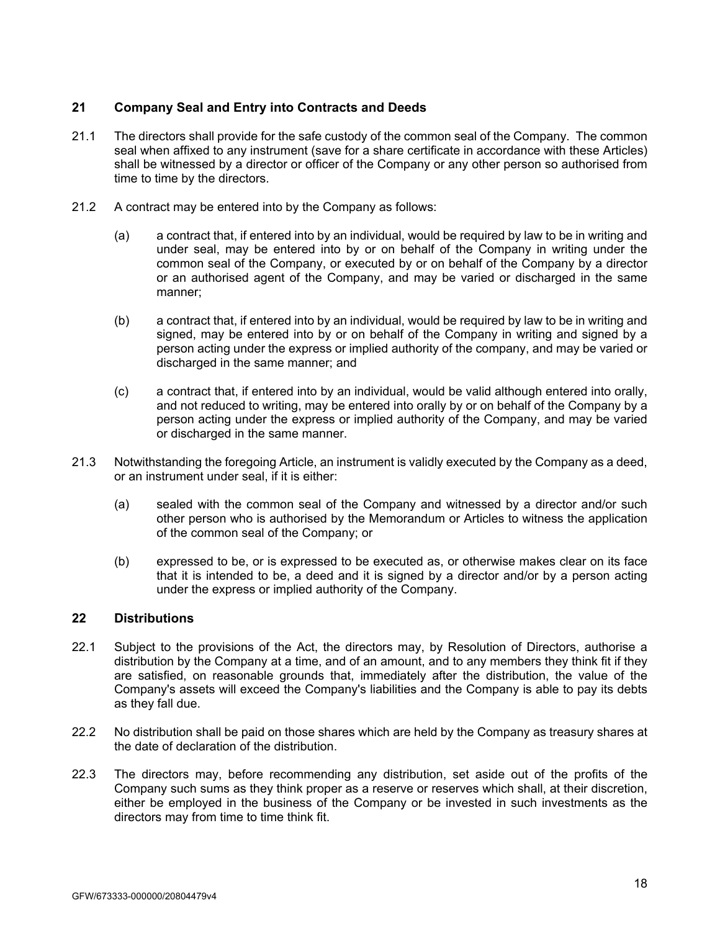# **21 Company Seal and Entry into Contracts and Deeds**

- 21.1 The directors shall provide for the safe custody of the common seal of the Company. The common seal when affixed to any instrument (save for a share certificate in accordance with these Articles) shall be witnessed by a director or officer of the Company or any other person so authorised from time to time by the directors.
- 21.2 A contract may be entered into by the Company as follows:
	- (a) a contract that, if entered into by an individual, would be required by law to be in writing and under seal, may be entered into by or on behalf of the Company in writing under the common seal of the Company, or executed by or on behalf of the Company by a director or an authorised agent of the Company, and may be varied or discharged in the same manner;
	- (b) a contract that, if entered into by an individual, would be required by law to be in writing and signed, may be entered into by or on behalf of the Company in writing and signed by a person acting under the express or implied authority of the company, and may be varied or discharged in the same manner; and
	- (c) a contract that, if entered into by an individual, would be valid although entered into orally, and not reduced to writing, may be entered into orally by or on behalf of the Company by a person acting under the express or implied authority of the Company, and may be varied or discharged in the same manner.
- 21.3 Notwithstanding the foregoing Article, an instrument is validly executed by the Company as a deed, or an instrument under seal, if it is either:
	- (a) sealed with the common seal of the Company and witnessed by a director and/or such other person who is authorised by the Memorandum or Articles to witness the application of the common seal of the Company; or
	- (b) expressed to be, or is expressed to be executed as, or otherwise makes clear on its face that it is intended to be, a deed and it is signed by a director and/or by a person acting under the express or implied authority of the Company.

# **22 Distributions**

- 22.1 Subject to the provisions of the Act, the directors may, by Resolution of Directors, authorise a distribution by the Company at a time, and of an amount, and to any members they think fit if they are satisfied, on reasonable grounds that, immediately after the distribution, the value of the Company's assets will exceed the Company's liabilities and the Company is able to pay its debts as they fall due.
- 22.2 No distribution shall be paid on those shares which are held by the Company as treasury shares at the date of declaration of the distribution.
- 22.3 The directors may, before recommending any distribution, set aside out of the profits of the Company such sums as they think proper as a reserve or reserves which shall, at their discretion, either be employed in the business of the Company or be invested in such investments as the directors may from time to time think fit.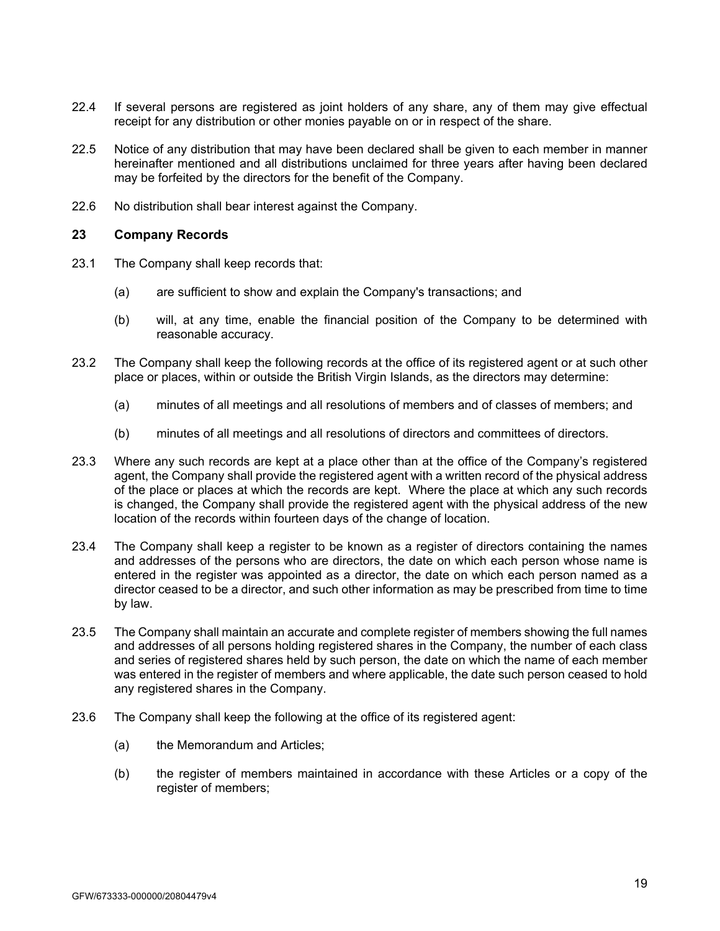- 22.4 If several persons are registered as joint holders of any share, any of them may give effectual receipt for any distribution or other monies payable on or in respect of the share.
- 22.5 Notice of any distribution that may have been declared shall be given to each member in manner hereinafter mentioned and all distributions unclaimed for three years after having been declared may be forfeited by the directors for the benefit of the Company.
- 22.6 No distribution shall bear interest against the Company.

# **23 Company Records**

- 23.1 The Company shall keep records that:
	- (a) are sufficient to show and explain the Company's transactions; and
	- (b) will, at any time, enable the financial position of the Company to be determined with reasonable accuracy.
- 23.2 The Company shall keep the following records at the office of its registered agent or at such other place or places, within or outside the British Virgin Islands, as the directors may determine:
	- (a) minutes of all meetings and all resolutions of members and of classes of members; and
	- (b) minutes of all meetings and all resolutions of directors and committees of directors.
- 23.3 Where any such records are kept at a place other than at the office of the Company's registered agent, the Company shall provide the registered agent with a written record of the physical address of the place or places at which the records are kept. Where the place at which any such records is changed, the Company shall provide the registered agent with the physical address of the new location of the records within fourteen days of the change of location.
- 23.4 The Company shall keep a register to be known as a register of directors containing the names and addresses of the persons who are directors, the date on which each person whose name is entered in the register was appointed as a director, the date on which each person named as a director ceased to be a director, and such other information as may be prescribed from time to time by law.
- 23.5 The Company shall maintain an accurate and complete register of members showing the full names and addresses of all persons holding registered shares in the Company, the number of each class and series of registered shares held by such person, the date on which the name of each member was entered in the register of members and where applicable, the date such person ceased to hold any registered shares in the Company.
- 23.6 The Company shall keep the following at the office of its registered agent:
	- (a) the Memorandum and Articles;
	- (b) the register of members maintained in accordance with these Articles or a copy of the register of members;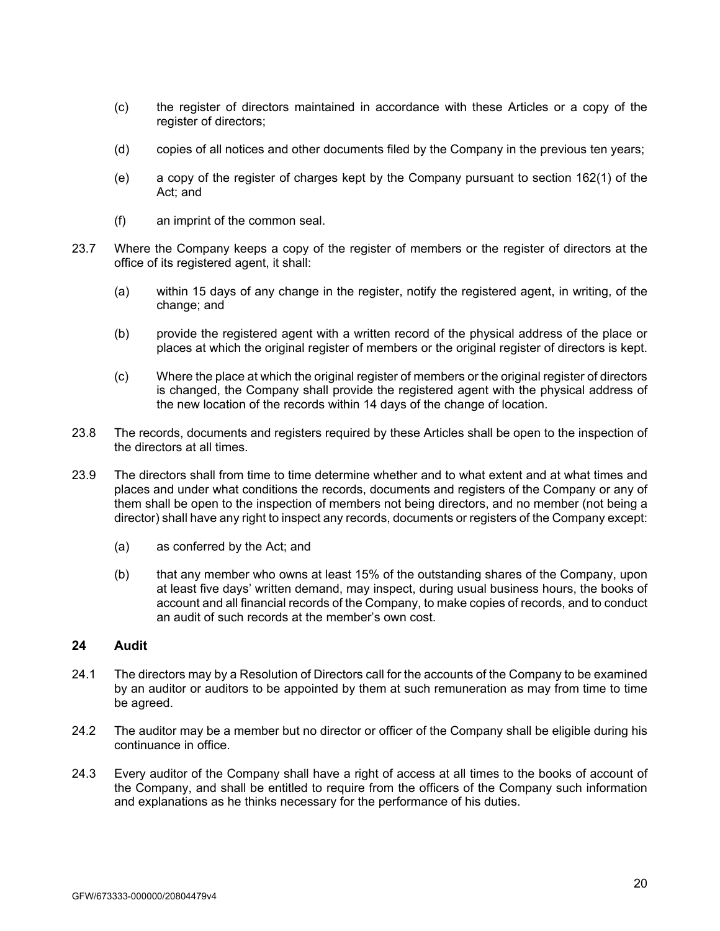- (c) the register of directors maintained in accordance with these Articles or a copy of the register of directors;
- (d) copies of all notices and other documents filed by the Company in the previous ten years;
- (e) a copy of the register of charges kept by the Company pursuant to section 162(1) of the Act; and
- (f) an imprint of the common seal.
- 23.7 Where the Company keeps a copy of the register of members or the register of directors at the office of its registered agent, it shall:
	- (a) within 15 days of any change in the register, notify the registered agent, in writing, of the change; and
	- (b) provide the registered agent with a written record of the physical address of the place or places at which the original register of members or the original register of directors is kept.
	- (c) Where the place at which the original register of members or the original register of directors is changed, the Company shall provide the registered agent with the physical address of the new location of the records within 14 days of the change of location.
- 23.8 The records, documents and registers required by these Articles shall be open to the inspection of the directors at all times.
- 23.9 The directors shall from time to time determine whether and to what extent and at what times and places and under what conditions the records, documents and registers of the Company or any of them shall be open to the inspection of members not being directors, and no member (not being a director) shall have any right to inspect any records, documents or registers of the Company except:
	- (a) as conferred by the Act; and
	- (b) that any member who owns at least 15% of the outstanding shares of the Company, upon at least five days' written demand, may inspect, during usual business hours, the books of account and all financial records of the Company, to make copies of records, and to conduct an audit of such records at the member's own cost.

### **24 Audit**

- 24.1 The directors may by a Resolution of Directors call for the accounts of the Company to be examined by an auditor or auditors to be appointed by them at such remuneration as may from time to time be agreed.
- 24.2 The auditor may be a member but no director or officer of the Company shall be eligible during his continuance in office.
- 24.3 Every auditor of the Company shall have a right of access at all times to the books of account of the Company, and shall be entitled to require from the officers of the Company such information and explanations as he thinks necessary for the performance of his duties.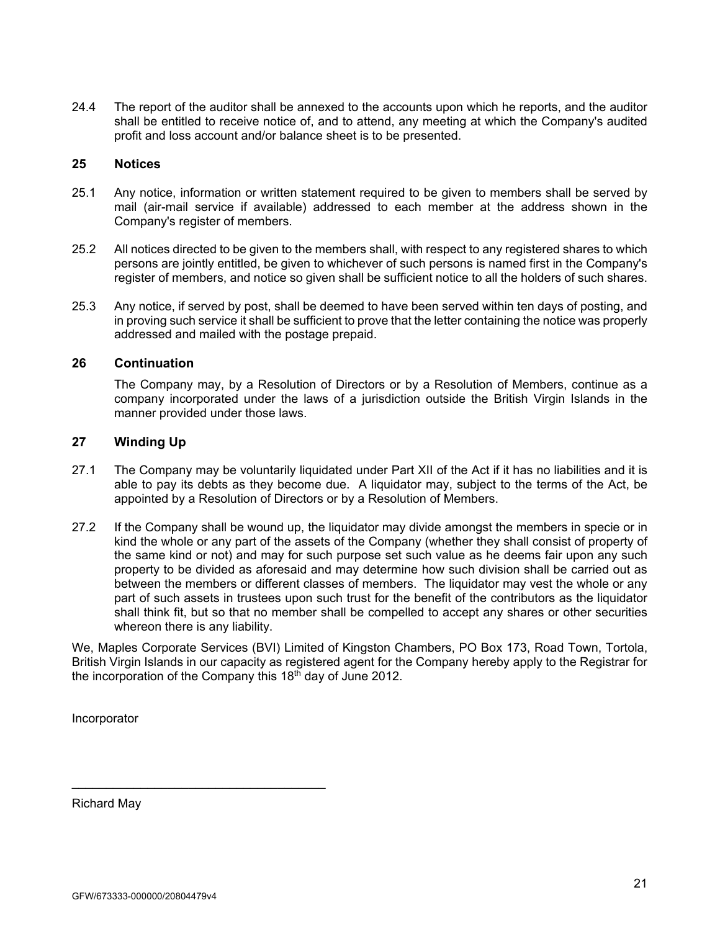24.4 The report of the auditor shall be annexed to the accounts upon which he reports, and the auditor shall be entitled to receive notice of, and to attend, any meeting at which the Company's audited profit and loss account and/or balance sheet is to be presented.

# **25 Notices**

- 25.1 Any notice, information or written statement required to be given to members shall be served by mail (air-mail service if available) addressed to each member at the address shown in the Company's register of members.
- 25.2 All notices directed to be given to the members shall, with respect to any registered shares to which persons are jointly entitled, be given to whichever of such persons is named first in the Company's register of members, and notice so given shall be sufficient notice to all the holders of such shares.
- 25.3 Any notice, if served by post, shall be deemed to have been served within ten days of posting, and in proving such service it shall be sufficient to prove that the letter containing the notice was properly addressed and mailed with the postage prepaid.

### **26 Continuation**

The Company may, by a Resolution of Directors or by a Resolution of Members, continue as a company incorporated under the laws of a jurisdiction outside the British Virgin Islands in the manner provided under those laws.

# **27 Winding Up**

- 27.1 The Company may be voluntarily liquidated under Part XII of the Act if it has no liabilities and it is able to pay its debts as they become due. A liquidator may, subject to the terms of the Act, be appointed by a Resolution of Directors or by a Resolution of Members.
- 27.2 If the Company shall be wound up, the liquidator may divide amongst the members in specie or in kind the whole or any part of the assets of the Company (whether they shall consist of property of the same kind or not) and may for such purpose set such value as he deems fair upon any such property to be divided as aforesaid and may determine how such division shall be carried out as between the members or different classes of members. The liquidator may vest the whole or any part of such assets in trustees upon such trust for the benefit of the contributors as the liquidator shall think fit, but so that no member shall be compelled to accept any shares or other securities whereon there is any liability.

We, Maples Corporate Services (BVI) Limited of Kingston Chambers, PO Box 173, Road Town, Tortola, British Virgin Islands in our capacity as registered agent for the Company hereby apply to the Registrar for the incorporation of the Company this  $18<sup>th</sup>$  day of June 2012.

Incorporator

Richard May

\_\_\_\_\_\_\_\_\_\_\_\_\_\_\_\_\_\_\_\_\_\_\_\_\_\_\_\_\_\_\_\_\_\_\_\_\_